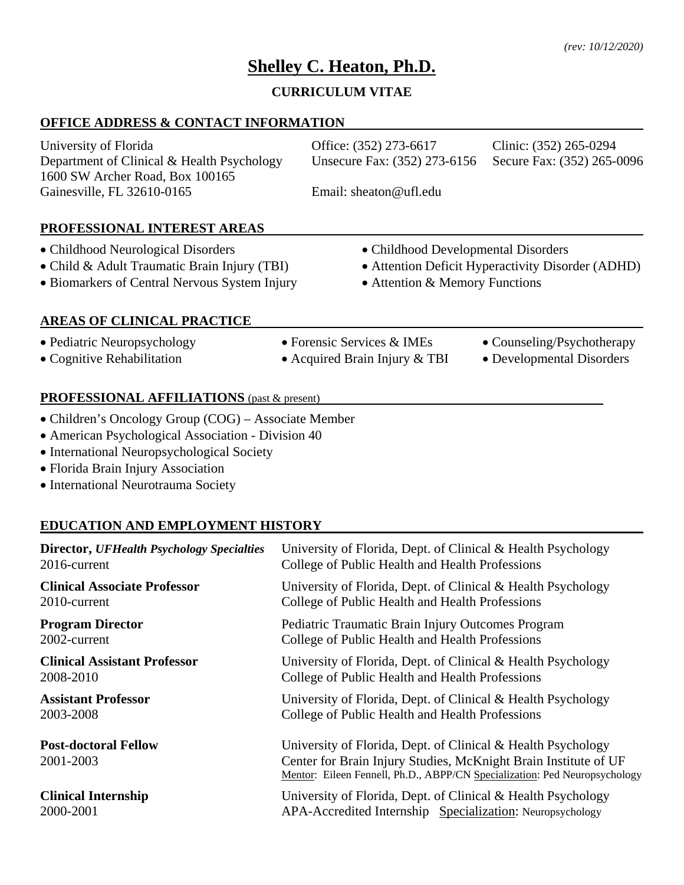# **Shelley C. Heaton, Ph.D.**

# **CURRICULUM VITAE**

# **OFFICE ADDRESS & CONTACT INFORMATION**

| University of Florida                      | Office: (352) 273-6617                                  | Clinic: (352) 265-0294 |
|--------------------------------------------|---------------------------------------------------------|------------------------|
| Department of Clinical & Health Psychology | Unsecure Fax: (352) 273-6156 Secure Fax: (352) 265-0096 |                        |
| 1600 SW Archer Road, Box 100165            |                                                         |                        |
| Gainesville, FL 32610-0165                 | Email: sheaton@ufl.edu                                  |                        |
|                                            |                                                         |                        |

# **PROFESSIONAL INTEREST AREAS**

- Childhood Neurological Disorders Childhood Developmental Disorders
- 
- Biomarkers of Central Nervous System Injury Attention & Memory Functions
- Child & Adult Traumatic Brain Injury (TBI) Attention Deficit Hyperactivity Disorder (ADHD)
	-

# **AREAS OF CLINICAL PRACTICE**

- Pediatric Neuropsychology Forensic Services & IMEs Counseling/Psychotherapy
- Cognitive Rehabilitation Acquired Brain Injury & TBI Developmental Disorders
- 
- 
- 

# **PROFESSIONAL AFFILIATIONS** (past & present)

- Children's Oncology Group (COG) Associate Member
- American Psychological Association Division 40
- International Neuropsychological Society
- Florida Brain Injury Association
- International Neurotrauma Society

# **EDUCATION AND EMPLOYMENT HISTORY**

| <b>Director, UFHealth Psychology Specialties</b> | University of Florida, Dept. of Clinical & Health Psychology                                                                                                                                                  |
|--------------------------------------------------|---------------------------------------------------------------------------------------------------------------------------------------------------------------------------------------------------------------|
| 2016-current                                     | College of Public Health and Health Professions                                                                                                                                                               |
| <b>Clinical Associate Professor</b>              | University of Florida, Dept. of Clinical & Health Psychology                                                                                                                                                  |
| 2010-current                                     | College of Public Health and Health Professions                                                                                                                                                               |
| <b>Program Director</b>                          | Pediatric Traumatic Brain Injury Outcomes Program                                                                                                                                                             |
| 2002-current                                     | College of Public Health and Health Professions                                                                                                                                                               |
| <b>Clinical Assistant Professor</b>              | University of Florida, Dept. of Clinical & Health Psychology                                                                                                                                                  |
| 2008-2010                                        | College of Public Health and Health Professions                                                                                                                                                               |
| <b>Assistant Professor</b>                       | University of Florida, Dept. of Clinical & Health Psychology                                                                                                                                                  |
| 2003-2008                                        | College of Public Health and Health Professions                                                                                                                                                               |
| <b>Post-doctoral Fellow</b><br>2001-2003         | University of Florida, Dept. of Clinical & Health Psychology<br>Center for Brain Injury Studies, McKnight Brain Institute of UF<br>Mentor: Eileen Fennell, Ph.D., ABPP/CN Specialization: Ped Neuropsychology |
| <b>Clinical Internship</b>                       | University of Florida, Dept. of Clinical & Health Psychology                                                                                                                                                  |
| 2000-2001                                        | APA-Accredited Internship Specialization: Neuropsychology                                                                                                                                                     |
|                                                  |                                                                                                                                                                                                               |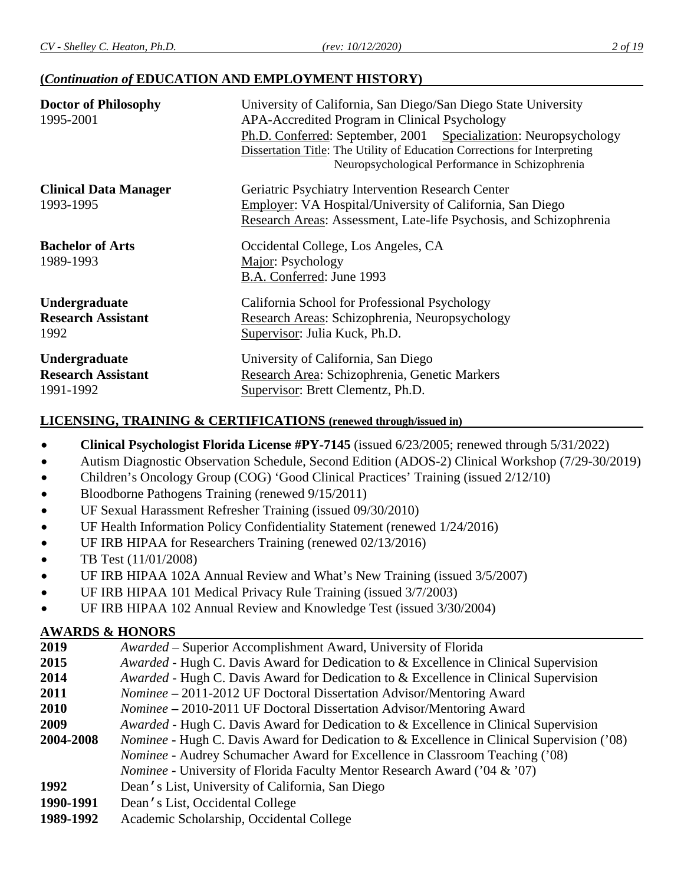# **(***Continuation of* **EDUCATION AND EMPLOYMENT HISTORY)**

| <b>Doctor of Philosophy</b><br>1995-2001 | University of California, San Diego/San Diego State University<br>APA-Accredited Program in Clinical Psychology                                                                                  |  |
|------------------------------------------|--------------------------------------------------------------------------------------------------------------------------------------------------------------------------------------------------|--|
|                                          | Ph.D. Conferred: September, 2001 Specialization: Neuropsychology<br>Dissertation Title: The Utility of Education Corrections for Interpreting<br>Neuropsychological Performance in Schizophrenia |  |
| <b>Clinical Data Manager</b>             | Geriatric Psychiatry Intervention Research Center                                                                                                                                                |  |
| 1993-1995                                | Employer: VA Hospital/University of California, San Diego<br>Research Areas: Assessment, Late-life Psychosis, and Schizophrenia                                                                  |  |
| <b>Bachelor of Arts</b>                  | Occidental College, Los Angeles, CA                                                                                                                                                              |  |
| 1989-1993                                | Major: Psychology<br>B.A. Conferred: June 1993                                                                                                                                                   |  |
| Undergraduate                            | California School for Professional Psychology                                                                                                                                                    |  |
| <b>Research Assistant</b><br>1992        | Research Areas: Schizophrenia, Neuropsychology<br>Supervisor: Julia Kuck, Ph.D.                                                                                                                  |  |
| Undergraduate                            | University of California, San Diego                                                                                                                                                              |  |
| <b>Research Assistant</b><br>1991-1992   | Research Area: Schizophrenia, Genetic Markers<br>Supervisor: Brett Clementz, Ph.D.                                                                                                               |  |

# **LICENSING, TRAINING & CERTIFICATIONS (renewed through/issued in)**

- **Clinical Psychologist Florida License #PY-7145** (issued 6/23/2005; renewed through 5/31/2022)
- Autism Diagnostic Observation Schedule, Second Edition (ADOS-2) Clinical Workshop (7/29-30/2019)
- Children's Oncology Group (COG) 'Good Clinical Practices' Training (issued 2/12/10)
- Bloodborne Pathogens Training (renewed 9/15/2011)
- UF Sexual Harassment Refresher Training (issued 09/30/2010)
- UF Health Information Policy Confidentiality Statement (renewed 1/24/2016)
- UF IRB HIPAA for Researchers Training (renewed 02/13/2016)
- TB Test (11/01/2008)
- UF IRB HIPAA 102A Annual Review and What's New Training (issued 3/5/2007)
- UF IRB HIPAA 101 Medical Privacy Rule Training (issued 3/7/2003)
- UF IRB HIPAA 102 Annual Review and Knowledge Test (issued 3/30/2004)

# **AWARDS & HONORS**

| 2019      | Awarded – Superior Accomplishment Award, University of Florida                                    |
|-----------|---------------------------------------------------------------------------------------------------|
| 2015      | Awarded - Hugh C. Davis Award for Dedication to & Excellence in Clinical Supervision              |
| 2014      | Awarded - Hugh C. Davis Award for Dedication to & Excellence in Clinical Supervision              |
| 2011      | Nominee - 2011-2012 UF Doctoral Dissertation Advisor/Mentoring Award                              |
| 2010      | <i>Nominee</i> – 2010-2011 UF Doctoral Dissertation Advisor/Mentoring Award                       |
| 2009      | Awarded - Hugh C. Davis Award for Dedication to & Excellence in Clinical Supervision              |
| 2004-2008 | <i>Nominee</i> - Hugh C. Davis Award for Dedication to & Excellence in Clinical Supervision ('08) |
|           | <i>Nominee</i> - Audrey Schumacher Award for Excellence in Classroom Teaching ('08)               |
|           | <i>Nominee</i> - University of Florida Faculty Mentor Research Award ('04 & '07)                  |
| 1992      | Dean's List, University of California, San Diego                                                  |
| 1990-1991 | Dean's List, Occidental College                                                                   |
| 1989-1992 | Academic Scholarship, Occidental College                                                          |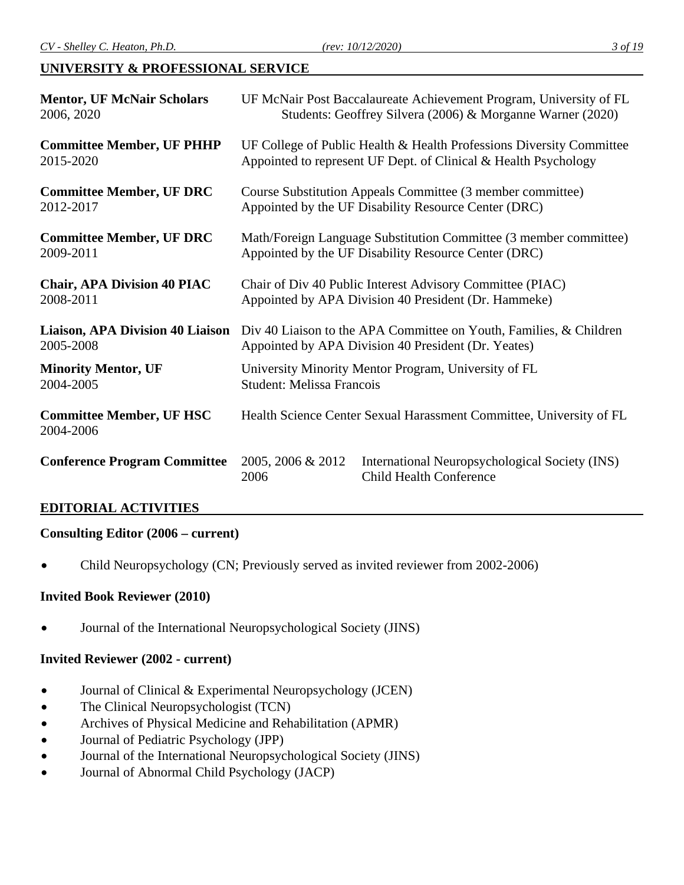# **UNIVERSITY & PROFESSIONAL SERVICE**

| <b>Mentor, UF McNair Scholars</b>            | UF McNair Post Baccalaureate Achievement Program, University of FL   |                                                                                  |
|----------------------------------------------|----------------------------------------------------------------------|----------------------------------------------------------------------------------|
| 2006, 2020                                   | Students: Geoffrey Silvera (2006) & Morganne Warner (2020)           |                                                                                  |
| <b>Committee Member, UF PHHP</b>             | UF College of Public Health & Health Professions Diversity Committee |                                                                                  |
| 2015-2020                                    | Appointed to represent UF Dept. of Clinical & Health Psychology      |                                                                                  |
| <b>Committee Member, UF DRC</b>              | Course Substitution Appeals Committee (3 member committee)           |                                                                                  |
| 2012-2017                                    | Appointed by the UF Disability Resource Center (DRC)                 |                                                                                  |
| <b>Committee Member, UF DRC</b>              | Math/Foreign Language Substitution Committee (3 member committee)    |                                                                                  |
| 2009-2011                                    | Appointed by the UF Disability Resource Center (DRC)                 |                                                                                  |
| <b>Chair, APA Division 40 PIAC</b>           | Chair of Div 40 Public Interest Advisory Committee (PIAC)            |                                                                                  |
| 2008-2011                                    | Appointed by APA Division 40 President (Dr. Hammeke)                 |                                                                                  |
| <b>Liaison, APA Division 40 Liaison</b>      | Div 40 Liaison to the APA Committee on Youth, Families, & Children   |                                                                                  |
| 2005-2008                                    | Appointed by APA Division 40 President (Dr. Yeates)                  |                                                                                  |
| <b>Minority Mentor, UF</b>                   | University Minority Mentor Program, University of FL                 |                                                                                  |
| 2004-2005                                    | <b>Student: Melissa Francois</b>                                     |                                                                                  |
| <b>Committee Member, UF HSC</b><br>2004-2006 | Health Science Center Sexual Harassment Committee, University of FL  |                                                                                  |
| <b>Conference Program Committee</b>          | 2005, 2006 & 2012<br>2006                                            | International Neuropsychological Society (INS)<br><b>Child Health Conference</b> |

# **EDITORIAL ACTIVITIES**

# **Consulting Editor (2006 – current)**

• Child Neuropsychology (CN; Previously served as invited reviewer from 2002-2006)

# **Invited Book Reviewer (2010)**

• Journal of the International Neuropsychological Society (JINS)

# **Invited Reviewer (2002 - current)**

- Journal of Clinical & Experimental Neuropsychology (JCEN)
- The Clinical Neuropsychologist (TCN)
- Archives of Physical Medicine and Rehabilitation (APMR)
- Journal of Pediatric Psychology (JPP)
- Journal of the International Neuropsychological Society (JINS)
- Journal of Abnormal Child Psychology (JACP)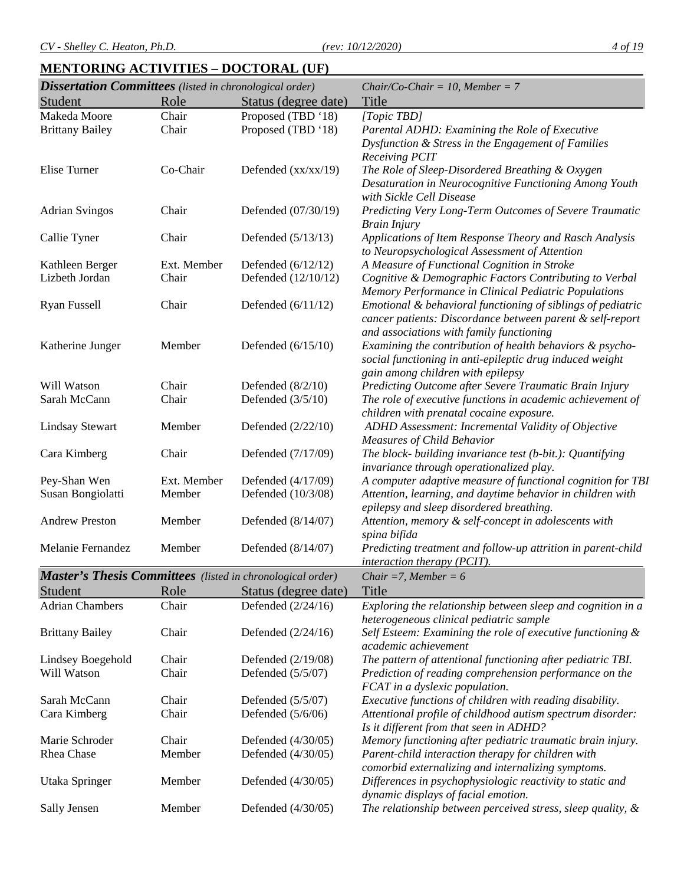# **MENTORING ACTIVITIES – DOCTORAL (UF)**

| <b>Dissertation Committees</b> (listed in chronological order)    |             |                       | $Chair/Co-Chair = 10, Member = 7$                              |
|-------------------------------------------------------------------|-------------|-----------------------|----------------------------------------------------------------|
| Student                                                           | Role        | Status (degree date)  | Title                                                          |
| Makeda Moore                                                      | Chair       | Proposed (TBD '18)    | [Topic TBD]                                                    |
| <b>Brittany Bailey</b>                                            | Chair       | Proposed (TBD '18)    | Parental ADHD: Examining the Role of Executive                 |
|                                                                   |             |                       | Dysfunction & Stress in the Engagement of Families             |
|                                                                   |             |                       | Receiving PCIT                                                 |
| Elise Turner                                                      | Co-Chair    | Defended $(xx/xx/19)$ | The Role of Sleep-Disordered Breathing & Oxygen                |
|                                                                   |             |                       | Desaturation in Neurocognitive Functioning Among Youth         |
|                                                                   |             |                       | with Sickle Cell Disease                                       |
| <b>Adrian Svingos</b>                                             | Chair       | Defended (07/30/19)   | Predicting Very Long-Term Outcomes of Severe Traumatic         |
|                                                                   |             |                       | <b>Brain Injury</b>                                            |
| Callie Tyner                                                      | Chair       | Defended (5/13/13)    | Applications of Item Response Theory and Rasch Analysis        |
|                                                                   |             |                       | to Neuropsychological Assessment of Attention                  |
| Kathleen Berger                                                   | Ext. Member | Defended $(6/12/12)$  | A Measure of Functional Cognition in Stroke                    |
| Lizbeth Jordan                                                    | Chair       | Defended (12/10/12)   | Cognitive & Demographic Factors Contributing to Verbal         |
|                                                                   |             |                       | Memory Performance in Clinical Pediatric Populations           |
| Ryan Fussell                                                      | Chair       | Defended $(6/11/12)$  | Emotional & behavioral functioning of siblings of pediatric    |
|                                                                   |             |                       | cancer patients: Discordance between parent & self-report      |
|                                                                   |             |                       | and associations with family functioning                       |
| Katherine Junger                                                  | Member      | Defended (6/15/10)    | Examining the contribution of health behaviors & psycho-       |
|                                                                   |             |                       | social functioning in anti-epileptic drug induced weight       |
|                                                                   |             |                       | gain among children with epilepsy                              |
| Will Watson                                                       | Chair       | Defended $(8/2/10)$   | Predicting Outcome after Severe Traumatic Brain Injury         |
| Sarah McCann                                                      | Chair       | Defended $(3/5/10)$   | The role of executive functions in academic achievement of     |
|                                                                   |             |                       | children with prenatal cocaine exposure.                       |
| <b>Lindsay Stewart</b>                                            | Member      | Defended (2/22/10)    | ADHD Assessment: Incremental Validity of Objective             |
|                                                                   |             |                       | <b>Measures of Child Behavior</b>                              |
| Cara Kimberg                                                      | Chair       | Defended (7/17/09)    | The block- building invariance test (b-bit.): Quantifying      |
|                                                                   |             |                       | invariance through operationalized play.                       |
| Pey-Shan Wen                                                      | Ext. Member | Defended (4/17/09)    | A computer adaptive measure of functional cognition for TBI    |
| Susan Bongiolatti                                                 | Member      | Defended (10/3/08)    | Attention, learning, and daytime behavior in children with     |
|                                                                   |             |                       | epilepsy and sleep disordered breathing.                       |
| <b>Andrew Preston</b>                                             | Member      | Defended (8/14/07)    | Attention, memory & self-concept in adolescents with           |
|                                                                   |             |                       | spina bifida                                                   |
| Melanie Fernandez                                                 | Member      | Defended (8/14/07)    | Predicting treatment and follow-up attrition in parent-child   |
|                                                                   |             |                       | <i>interaction therapy (PCIT).</i>                             |
| <b>Master's Thesis Committees</b> (listed in chronological order) |             |                       | Chair = 7, Member = $6$                                        |
| Student                                                           | Role        | Status (degree date)  | Title                                                          |
| <b>Adrian Chambers</b>                                            | Chair       | Defended (2/24/16)    | Exploring the relationship between sleep and cognition in a    |
|                                                                   |             |                       | heterogeneous clinical pediatric sample                        |
| <b>Brittany Bailey</b>                                            | Chair       | Defended $(2/24/16)$  | Self Esteem: Examining the role of executive functioning &     |
|                                                                   |             |                       | academic achievement                                           |
| Lindsey Boegehold                                                 | Chair       | Defended (2/19/08)    | The pattern of attentional functioning after pediatric TBI.    |
| Will Watson                                                       | Chair       | Defended (5/5/07)     | Prediction of reading comprehension performance on the         |
|                                                                   |             |                       | FCAT in a dyslexic population.                                 |
| Sarah McCann                                                      | Chair       | Defended (5/5/07)     | Executive functions of children with reading disability.       |
| Cara Kimberg                                                      | Chair       | Defended $(5/6/06)$   | Attentional profile of childhood autism spectrum disorder:     |
|                                                                   |             |                       | Is it different from that seen in ADHD?                        |
| Marie Schroder                                                    | Chair       | Defended (4/30/05)    | Memory functioning after pediatric traumatic brain injury.     |
| Rhea Chase                                                        | Member      | Defended (4/30/05)    | Parent-child interaction therapy for children with             |
|                                                                   |             |                       | comorbid externalizing and internalizing symptoms.             |
| Utaka Springer                                                    | Member      | Defended (4/30/05)    | Differences in psychophysiologic reactivity to static and      |
|                                                                   |             |                       | dynamic displays of facial emotion.                            |
| Sally Jensen                                                      | Member      | Defended (4/30/05)    | The relationship between perceived stress, sleep quality, $\&$ |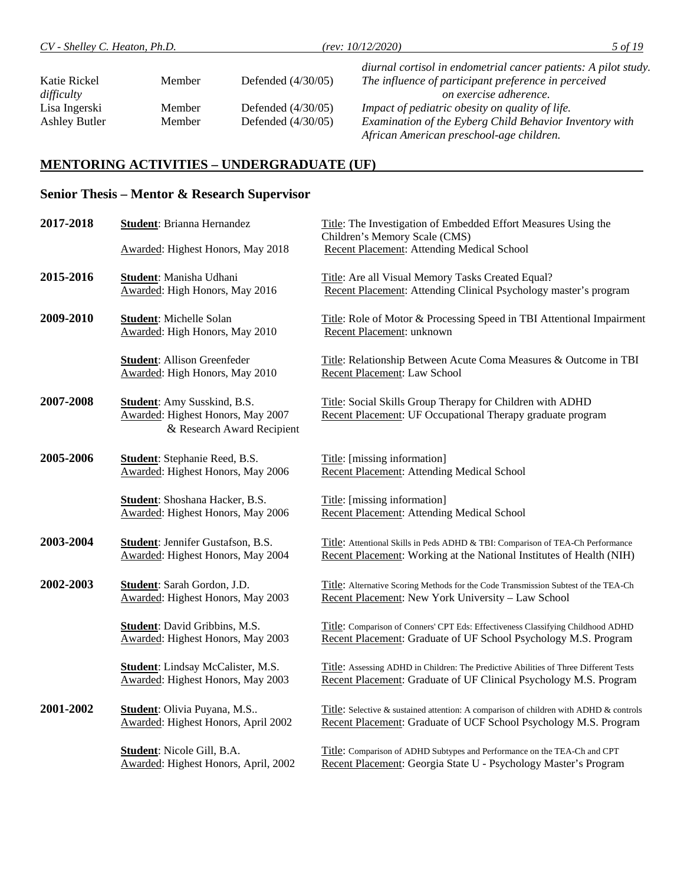Ashley Butler Member Defended (4/30/05) *Examination of the Eyberg Child Behavior Inventory with* 

*African American preschool-age children.*

#### **MENTORING ACTIVITIES – UNDERGRADUATE (UF)**

# **Senior Thesis – Mentor & Research Supervisor**

| 2017-2018 | Student: Brianna Hernandez                                                                            | Title: The Investigation of Embedded Effort Measures Using the<br>Children's Memory Scale (CMS)                                                           |
|-----------|-------------------------------------------------------------------------------------------------------|-----------------------------------------------------------------------------------------------------------------------------------------------------------|
|           | <b>Awarded: Highest Honors, May 2018</b>                                                              | Recent Placement: Attending Medical School                                                                                                                |
| 2015-2016 | Student: Manisha Udhani<br>Awarded: High Honors, May 2016                                             | Title: Are all Visual Memory Tasks Created Equal?<br>Recent Placement: Attending Clinical Psychology master's program                                     |
| 2009-2010 | <b>Student:</b> Michelle Solan<br>Awarded: High Honors, May 2010                                      | Title: Role of Motor & Processing Speed in TBI Attentional Impairment<br>Recent Placement: unknown                                                        |
|           | <b>Student:</b> Allison Greenfeder<br>Awarded: High Honors, May 2010                                  | Title: Relationship Between Acute Coma Measures & Outcome in TBI<br>Recent Placement: Law School                                                          |
| 2007-2008 | <b>Student:</b> Amy Susskind, B.S.<br>Awarded: Highest Honors, May 2007<br>& Research Award Recipient | Title: Social Skills Group Therapy for Children with ADHD<br>Recent Placement: UF Occupational Therapy graduate program                                   |
| 2005-2006 | <b>Student:</b> Stephanie Reed, B.S.<br>Awarded: Highest Honors, May 2006                             | Title: [missing information]<br>Recent Placement: Attending Medical School                                                                                |
|           | Student: Shoshana Hacker, B.S.<br>Awarded: Highest Honors, May 2006                                   | Title: [missing information]<br>Recent Placement: Attending Medical School                                                                                |
| 2003-2004 | <b>Student:</b> Jennifer Gustafson, B.S.<br>Awarded: Highest Honors, May 2004                         | Title: Attentional Skills in Peds ADHD & TBI: Comparison of TEA-Ch Performance<br>Recent Placement: Working at the National Institutes of Health (NIH)    |
| 2002-2003 | Student: Sarah Gordon, J.D.<br>Awarded: Highest Honors, May 2003                                      | Title: Alternative Scoring Methods for the Code Transmission Subtest of the TEA-Ch<br>Recent Placement: New York University - Law School                  |
|           | <b>Student:</b> David Gribbins, M.S.<br>Awarded: Highest Honors, May 2003                             | Title: Comparison of Conners' CPT Eds: Effectiveness Classifying Childhood ADHD<br>Recent Placement: Graduate of UF School Psychology M.S. Program        |
|           | <b>Student:</b> Lindsay McCalister, M.S.<br>Awarded: Highest Honors, May 2003                         | Title: Assessing ADHD in Children: The Predictive Abilities of Three Different Tests<br>Recent Placement: Graduate of UF Clinical Psychology M.S. Program |
| 2001-2002 | <b>Student:</b> Olivia Puyana, M.S<br>Awarded: Highest Honors, April 2002                             | Title: Selective & sustained attention: A comparison of children with ADHD & controls<br>Recent Placement: Graduate of UCF School Psychology M.S. Program |
|           | <b>Student:</b> Nicole Gill, B.A.<br>Awarded: Highest Honors, April, 2002                             | Title: Comparison of ADHD Subtypes and Performance on the TEA-Ch and CPT<br>Recent Placement: Georgia State U - Psychology Master's Program               |
|           |                                                                                                       |                                                                                                                                                           |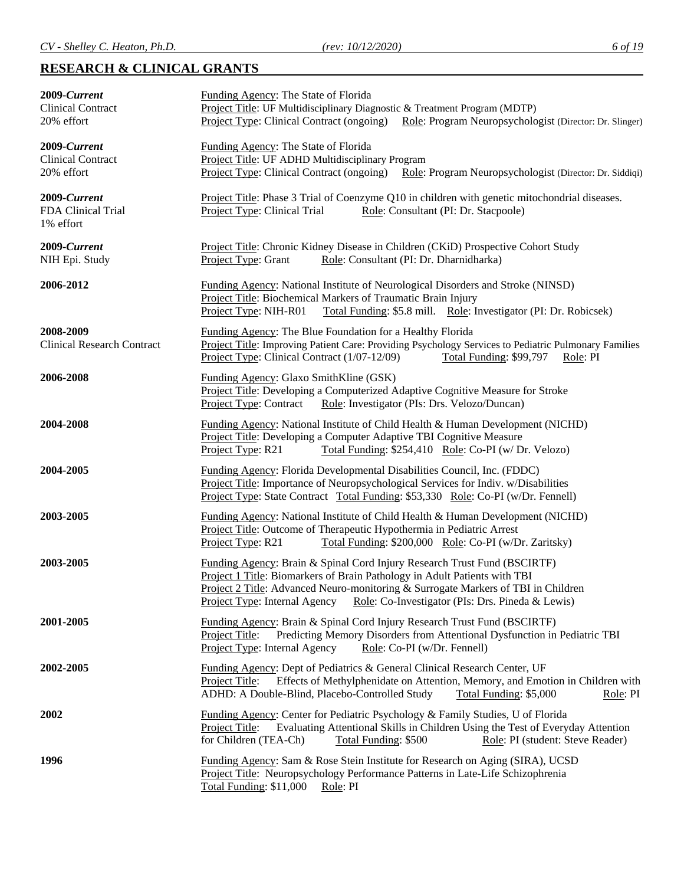# **RESEARCH & CLINICAL GRANTS**

| 2009-Current<br><b>Clinical Contract</b><br>20% effort | Funding Agency: The State of Florida<br>Project Title: UF Multidisciplinary Diagnostic & Treatment Program (MDTP)<br>Project Type: Clinical Contract (ongoing) Role: Program Neuropsychologist (Director: Dr. Slinger)                                                                                                          |
|--------------------------------------------------------|---------------------------------------------------------------------------------------------------------------------------------------------------------------------------------------------------------------------------------------------------------------------------------------------------------------------------------|
| 2009-Current<br><b>Clinical Contract</b><br>20% effort | Funding Agency: The State of Florida<br>Project Title: UF ADHD Multidisciplinary Program<br>Project Type: Clinical Contract (ongoing)<br>Role: Program Neuropsychologist (Director: Dr. Siddiqi)                                                                                                                                |
| 2009-Current<br>FDA Clinical Trial<br>1% effort        | Project Title: Phase 3 Trial of Coenzyme Q10 in children with genetic mitochondrial diseases.<br>Project Type: Clinical Trial<br>Role: Consultant (PI: Dr. Stacpoole)                                                                                                                                                           |
| 2009-Current<br>NIH Epi. Study                         | Project Title: Chronic Kidney Disease in Children (CKiD) Prospective Cohort Study<br>Project Type: Grant<br>Role: Consultant (PI: Dr. Dharnidharka)                                                                                                                                                                             |
| 2006-2012                                              | Funding Agency: National Institute of Neurological Disorders and Stroke (NINSD)<br>Project Title: Biochemical Markers of Traumatic Brain Injury<br>Project Type: NIH-R01<br>Total Funding: \$5.8 mill. Role: Investigator (PI: Dr. Robicsek)                                                                                    |
| 2008-2009<br><b>Clinical Research Contract</b>         | Funding Agency: The Blue Foundation for a Healthy Florida<br>Project Title: Improving Patient Care: Providing Psychology Services to Pediatric Pulmonary Families<br>Project Type: Clinical Contract (1/07-12/09)<br>Total Funding: \$99,797<br>Role: PI                                                                        |
| 2006-2008                                              | Funding Agency: Glaxo SmithKline (GSK)<br>Project Title: Developing a Computerized Adaptive Cognitive Measure for Stroke<br><b>Project Type: Contract</b><br>Role: Investigator (PIs: Drs. Velozo/Duncan)                                                                                                                       |
| 2004-2008                                              | Funding Agency: National Institute of Child Health & Human Development (NICHD)<br>Project Title: Developing a Computer Adaptive TBI Cognitive Measure<br>Project Type: R21<br>Total Funding: \$254,410 Role: Co-PI (w/ Dr. Velozo)                                                                                              |
| 2004-2005                                              | Funding Agency: Florida Developmental Disabilities Council, Inc. (FDDC)<br>Project Title: Importance of Neuropsychological Services for Indiv. w/Disabilities<br>Project Type: State Contract Total Funding: \$53,330 Role: Co-PI (w/Dr. Fennell)                                                                               |
| 2003-2005                                              | Funding Agency: National Institute of Child Health & Human Development (NICHD)<br>Project Title: Outcome of Therapeutic Hypothermia in Pediatric Arrest<br>Project Type: R21<br>Total Funding: \$200,000 Role: Co-PI (w/Dr. Zaritsky)                                                                                           |
| 2003-2005                                              | Funding Agency: Brain & Spinal Cord Injury Research Trust Fund (BSCIRTF)<br>Project 1 Title: Biomarkers of Brain Pathology in Adult Patients with TBI<br>Project 2 Title: Advanced Neuro-monitoring & Surrogate Markers of TBI in Children<br>Project Type: Internal Agency<br>Role: Co-Investigator (PIs: Drs. Pineda & Lewis) |
| 2001-2005                                              | Funding Agency: Brain & Spinal Cord Injury Research Trust Fund (BSCIRTF)<br>Predicting Memory Disorders from Attentional Dysfunction in Pediatric TBI<br>Project Title:<br>Project Type: Internal Agency<br>Role: Co-PI (w/Dr. Fennell)                                                                                         |
| 2002-2005                                              | Funding Agency: Dept of Pediatrics & General Clinical Research Center, UF<br>Project Title:<br>Effects of Methylphenidate on Attention, Memory, and Emotion in Children with<br>ADHD: A Double-Blind, Placebo-Controlled Study<br>Total Funding: \$5,000<br>Role: PI                                                            |
| 2002                                                   | Funding Agency: Center for Pediatric Psychology & Family Studies, U of Florida<br>Evaluating Attentional Skills in Children Using the Test of Everyday Attention<br>Project Title:<br>for Children (TEA-Ch)<br><b>Total Funding: \$500</b><br>Role: PI (student: Steve Reader)                                                  |
| 1996                                                   | Funding Agency: Sam & Rose Stein Institute for Research on Aging (SIRA), UCSD<br>Project Title: Neuropsychology Performance Patterns in Late-Life Schizophrenia<br>Total Funding: \$11,000<br>Role: PI                                                                                                                          |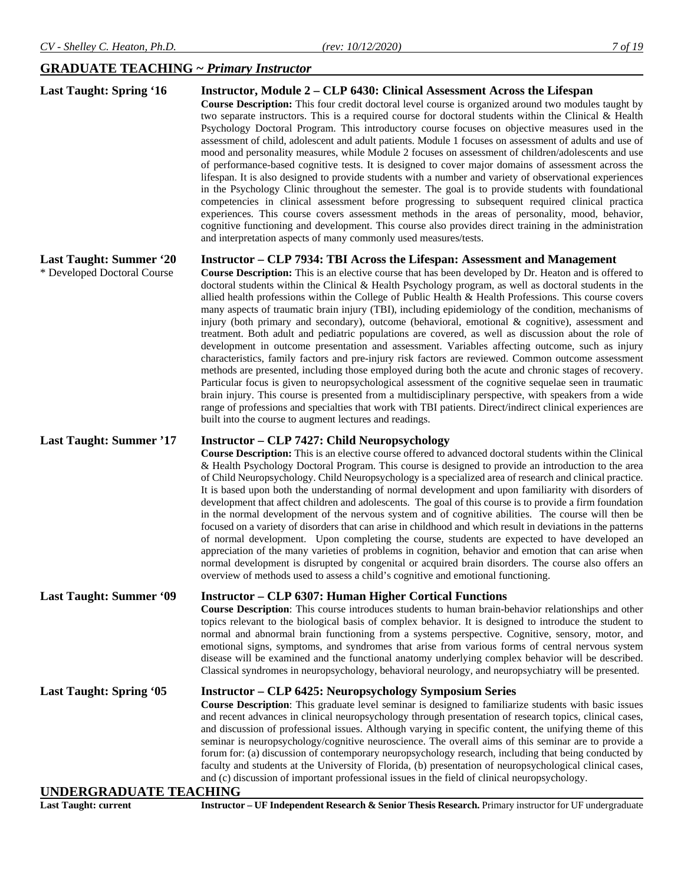# **GRADUATE TEACHING ~** *Primary Instructor*

| <b>Last Taught: Spring '16</b>                               | Instructor, Module 2 – CLP 6430: Clinical Assessment Across the Lifespan<br><b>Course Description:</b> This four credit doctoral level course is organized around two modules taught by<br>two separate instructors. This is a required course for doctoral students within the Clinical & Health<br>Psychology Doctoral Program. This introductory course focuses on objective measures used in the<br>assessment of child, adolescent and adult patients. Module 1 focuses on assessment of adults and use of<br>mood and personality measures, while Module 2 focuses on assessment of children/adolescents and use<br>of performance-based cognitive tests. It is designed to cover major domains of assessment across the<br>lifespan. It is also designed to provide students with a number and variety of observational experiences<br>in the Psychology Clinic throughout the semester. The goal is to provide students with foundational<br>competencies in clinical assessment before progressing to subsequent required clinical practica<br>experiences. This course covers assessment methods in the areas of personality, mood, behavior,<br>cognitive functioning and development. This course also provides direct training in the administration<br>and interpretation aspects of many commonly used measures/tests.                                    |
|--------------------------------------------------------------|--------------------------------------------------------------------------------------------------------------------------------------------------------------------------------------------------------------------------------------------------------------------------------------------------------------------------------------------------------------------------------------------------------------------------------------------------------------------------------------------------------------------------------------------------------------------------------------------------------------------------------------------------------------------------------------------------------------------------------------------------------------------------------------------------------------------------------------------------------------------------------------------------------------------------------------------------------------------------------------------------------------------------------------------------------------------------------------------------------------------------------------------------------------------------------------------------------------------------------------------------------------------------------------------------------------------------------------------------------------------------|
| <b>Last Taught: Summer '20</b>                               | Instructor – CLP 7934: TBI Across the Lifespan: Assessment and Management                                                                                                                                                                                                                                                                                                                                                                                                                                                                                                                                                                                                                                                                                                                                                                                                                                                                                                                                                                                                                                                                                                                                                                                                                                                                                                |
| * Developed Doctoral Course                                  | <b>Course Description:</b> This is an elective course that has been developed by Dr. Heaton and is offered to<br>doctoral students within the Clinical & Health Psychology program, as well as doctoral students in the<br>allied health professions within the College of Public Health & Health Professions. This course covers<br>many aspects of traumatic brain injury (TBI), including epidemiology of the condition, mechanisms of<br>injury (both primary and secondary), outcome (behavioral, emotional $\&$ cognitive), assessment and<br>treatment. Both adult and pediatric populations are covered, as well as discussion about the role of<br>development in outcome presentation and assessment. Variables affecting outcome, such as injury<br>characteristics, family factors and pre-injury risk factors are reviewed. Common outcome assessment<br>methods are presented, including those employed during both the acute and chronic stages of recovery.<br>Particular focus is given to neuropsychological assessment of the cognitive sequelae seen in traumatic<br>brain injury. This course is presented from a multidisciplinary perspective, with speakers from a wide<br>range of professions and specialties that work with TBI patients. Direct/indirect clinical experiences are<br>built into the course to augment lectures and readings. |
| <b>Last Taught: Summer '17</b>                               | <b>Instructor – CLP 7427: Child Neuropsychology</b><br>Course Description: This is an elective course offered to advanced doctoral students within the Clinical<br>& Health Psychology Doctoral Program. This course is designed to provide an introduction to the area<br>of Child Neuropsychology. Child Neuropsychology is a specialized area of research and clinical practice.<br>It is based upon both the understanding of normal development and upon familiarity with disorders of<br>development that affect children and adolescents. The goal of this course is to provide a firm foundation<br>in the normal development of the nervous system and of cognitive abilities. The course will then be<br>focused on a variety of disorders that can arise in childhood and which result in deviations in the patterns<br>of normal development. Upon completing the course, students are expected to have developed an<br>appreciation of the many varieties of problems in cognition, behavior and emotion that can arise when<br>normal development is disrupted by congenital or acquired brain disorders. The course also offers an<br>overview of methods used to assess a child's cognitive and emotional functioning.                                                                                                                                   |
| <b>Last Taught: Summer '09</b>                               | <b>Instructor – CLP 6307: Human Higher Cortical Functions</b><br>Course Description: This course introduces students to human brain-behavior relationships and other<br>topics relevant to the biological basis of complex behavior. It is designed to introduce the student to<br>normal and abnormal brain functioning from a systems perspective. Cognitive, sensory, motor, and<br>emotional signs, symptoms, and syndromes that arise from various forms of central nervous system<br>disease will be examined and the functional anatomy underlying complex behavior will be described.<br>Classical syndromes in neuropsychology, behavioral neurology, and neuropsychiatry will be presented.                                                                                                                                                                                                                                                                                                                                                                                                                                                                                                                                                                                                                                                                    |
| <b>Last Taught: Spring '05</b>                               | <b>Instructor – CLP 6425: Neuropsychology Symposium Series</b><br>Course Description: This graduate level seminar is designed to familiarize students with basic issues<br>and recent advances in clinical neuropsychology through presentation of research topics, clinical cases,<br>and discussion of professional issues. Although varying in specific content, the unifying theme of this<br>seminar is neuropsychology/cognitive neuroscience. The overall aims of this seminar are to provide a<br>forum for: (a) discussion of contemporary neuropsychology research, including that being conducted by<br>faculty and students at the University of Florida, (b) presentation of neuropsychological clinical cases,<br>and (c) discussion of important professional issues in the field of clinical neuropsychology.                                                                                                                                                                                                                                                                                                                                                                                                                                                                                                                                            |
| <b>UNDERGRADUATE TEACHING</b><br><b>Last Taught: current</b> | Instructor - UF Independent Research & Senior Thesis Research. Primary instructor for UF undergraduate                                                                                                                                                                                                                                                                                                                                                                                                                                                                                                                                                                                                                                                                                                                                                                                                                                                                                                                                                                                                                                                                                                                                                                                                                                                                   |
|                                                              |                                                                                                                                                                                                                                                                                                                                                                                                                                                                                                                                                                                                                                                                                                                                                                                                                                                                                                                                                                                                                                                                                                                                                                                                                                                                                                                                                                          |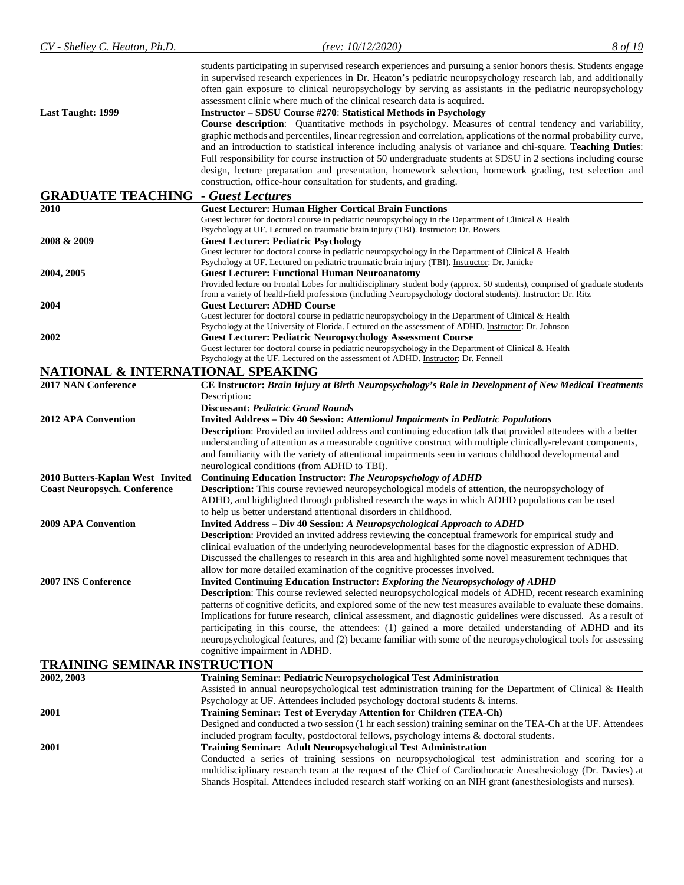| CV - Shelley C. Heaton, Ph.D.       | (rev: 10/12/2020)                                                                                                                                                                                                                                                                                                                                                                                                                                                                                                                                                                                                                                  | 8 of 19 |
|-------------------------------------|----------------------------------------------------------------------------------------------------------------------------------------------------------------------------------------------------------------------------------------------------------------------------------------------------------------------------------------------------------------------------------------------------------------------------------------------------------------------------------------------------------------------------------------------------------------------------------------------------------------------------------------------------|---------|
| <b>Last Taught: 1999</b>            | students participating in supervised research experiences and pursuing a senior honors thesis. Students engage<br>in supervised research experiences in Dr. Heaton's pediatric neuropsychology research lab, and additionally<br>often gain exposure to clinical neuropsychology by serving as assistants in the pediatric neuropsychology<br>assessment clinic where much of the clinical research data is acquired.<br><b>Instructor – SDSU Course #270: Statistical Methods in Psychology</b>                                                                                                                                                   |         |
|                                     | <b>Course description:</b> Quantitative methods in psychology. Measures of central tendency and variability,<br>graphic methods and percentiles, linear regression and correlation, applications of the normal probability curve,<br>and an introduction to statistical inference including analysis of variance and chi-square. Teaching Duties:<br>Full responsibility for course instruction of 50 undergraduate students at SDSU in 2 sections including course<br>design, lecture preparation and presentation, homework selection, homework grading, test selection and<br>construction, office-hour consultation for students, and grading. |         |
| <b>GRADUATE TEACHING</b>            | - Guest Lectures                                                                                                                                                                                                                                                                                                                                                                                                                                                                                                                                                                                                                                   |         |
| 2010                                | <b>Guest Lecturer: Human Higher Cortical Brain Functions</b>                                                                                                                                                                                                                                                                                                                                                                                                                                                                                                                                                                                       |         |
| 2008 & 2009                         | Guest lecturer for doctoral course in pediatric neuropsychology in the Department of Clinical & Health<br>Psychology at UF. Lectured on traumatic brain injury (TBI). Instructor: Dr. Bowers<br><b>Guest Lecturer: Pediatric Psychology</b>                                                                                                                                                                                                                                                                                                                                                                                                        |         |
|                                     | Guest lecturer for doctoral course in pediatric neuropsychology in the Department of Clinical & Health<br>Psychology at UF. Lectured on pediatric traumatic brain injury (TBI). Instructor: Dr. Janicke                                                                                                                                                                                                                                                                                                                                                                                                                                            |         |
| 2004, 2005                          | <b>Guest Lecturer: Functional Human Neuroanatomy</b><br>Provided lecture on Frontal Lobes for multidisciplinary student body (approx. 50 students), comprised of graduate students<br>from a variety of health-field professions (including Neuropsychology doctoral students). Instructor: Dr. Ritz                                                                                                                                                                                                                                                                                                                                               |         |
| 2004                                | <b>Guest Lecturer: ADHD Course</b><br>Guest lecturer for doctoral course in pediatric neuropsychology in the Department of Clinical & Health                                                                                                                                                                                                                                                                                                                                                                                                                                                                                                       |         |
| 2002                                | Psychology at the University of Florida. Lectured on the assessment of ADHD. Instructor: Dr. Johnson<br><b>Guest Lecturer: Pediatric Neuropsychology Assessment Course</b>                                                                                                                                                                                                                                                                                                                                                                                                                                                                         |         |
|                                     | Guest lecturer for doctoral course in pediatric neuropsychology in the Department of Clinical & Health<br>Psychology at the UF. Lectured on the assessment of ADHD. Instructor: Dr. Fennell                                                                                                                                                                                                                                                                                                                                                                                                                                                        |         |
| NATIONAL & INTERNATIONAL SPEAKING   |                                                                                                                                                                                                                                                                                                                                                                                                                                                                                                                                                                                                                                                    |         |
| <b>2017 NAN Conference</b>          | CE Instructor: Brain Injury at Birth Neuropsychology's Role in Development of New Medical Treatments<br>Description:                                                                                                                                                                                                                                                                                                                                                                                                                                                                                                                               |         |
| <b>2012 APA Convention</b>          | Discussant: Pediatric Grand Rounds<br><b>Invited Address - Div 40 Session: Attentional Impairments in Pediatric Populations</b>                                                                                                                                                                                                                                                                                                                                                                                                                                                                                                                    |         |
|                                     | Description: Provided an invited address and continuing education talk that provided attendees with a better                                                                                                                                                                                                                                                                                                                                                                                                                                                                                                                                       |         |
|                                     | understanding of attention as a measurable cognitive construct with multiple clinically-relevant components,<br>and familiarity with the variety of attentional impairments seen in various childhood developmental and                                                                                                                                                                                                                                                                                                                                                                                                                            |         |
| 2010 Butters-Kaplan West Invited    | neurological conditions (from ADHD to TBI).<br>Continuing Education Instructor: The Neuropsychology of ADHD                                                                                                                                                                                                                                                                                                                                                                                                                                                                                                                                        |         |
| <b>Coast Neuropsych. Conference</b> | <b>Description:</b> This course reviewed neuropsychological models of attention, the neuropsychology of                                                                                                                                                                                                                                                                                                                                                                                                                                                                                                                                            |         |
|                                     | ADHD, and highlighted through published research the ways in which ADHD populations can be used<br>to help us better understand attentional disorders in childhood.                                                                                                                                                                                                                                                                                                                                                                                                                                                                                |         |
| 2009 APA Convention                 | <b>Invited Address - Div 40 Session: A Neuropsychological Approach to ADHD</b><br>Description: Provided an invited address reviewing the conceptual framework for empirical study and                                                                                                                                                                                                                                                                                                                                                                                                                                                              |         |
|                                     | clinical evaluation of the underlying neurodevelopmental bases for the diagnostic expression of ADHD.<br>Discussed the challenges to research in this area and highlighted some novel measurement techniques that                                                                                                                                                                                                                                                                                                                                                                                                                                  |         |
| 2007 INS Conference                 | allow for more detailed examination of the cognitive processes involved.<br><b>Invited Continuing Education Instructor: Exploring the Neuropsychology of ADHD</b>                                                                                                                                                                                                                                                                                                                                                                                                                                                                                  |         |
|                                     | <b>Description:</b> This course reviewed selected neuropsychological models of ADHD, recent research examining<br>patterns of cognitive deficits, and explored some of the new test measures available to evaluate these domains.                                                                                                                                                                                                                                                                                                                                                                                                                  |         |
|                                     | Implications for future research, clinical assessment, and diagnostic guidelines were discussed. As a result of<br>participating in this course, the attendees: (1) gained a more detailed understanding of ADHD and its<br>neuropsychological features, and (2) became familiar with some of the neuropsychological tools for assessing                                                                                                                                                                                                                                                                                                           |         |
|                                     | cognitive impairment in ADHD.                                                                                                                                                                                                                                                                                                                                                                                                                                                                                                                                                                                                                      |         |
| <b>TRAINING SEMINAR INSTRUCTION</b> |                                                                                                                                                                                                                                                                                                                                                                                                                                                                                                                                                                                                                                                    |         |
| 2002, 2003                          | Training Seminar: Pediatric Neuropsychological Test Administration                                                                                                                                                                                                                                                                                                                                                                                                                                                                                                                                                                                 |         |
| 2001                                | Assisted in annual neuropsychological test administration training for the Department of Clinical & Health<br>Psychology at UF. Attendees included psychology doctoral students & interns.<br>Training Seminar: Test of Everyday Attention for Children (TEA-Ch)                                                                                                                                                                                                                                                                                                                                                                                   |         |
|                                     | Designed and conducted a two session (1 hr each session) training seminar on the TEA-Ch at the UF. Attendees<br>included program faculty, postdoctoral fellows, psychology interns & doctoral students.                                                                                                                                                                                                                                                                                                                                                                                                                                            |         |
| 2001                                | Training Seminar: Adult Neuropsychological Test Administration<br>Conducted a series of training sessions on neuropsychological test administration and scoring for a                                                                                                                                                                                                                                                                                                                                                                                                                                                                              |         |
|                                     | multidisciplinary research team at the request of the Chief of Cardiothoracic Anesthesiology (Dr. Davies) at<br>Shands Hospital. Attendees included research staff working on an NIH grant (anesthesiologists and nurses).                                                                                                                                                                                                                                                                                                                                                                                                                         |         |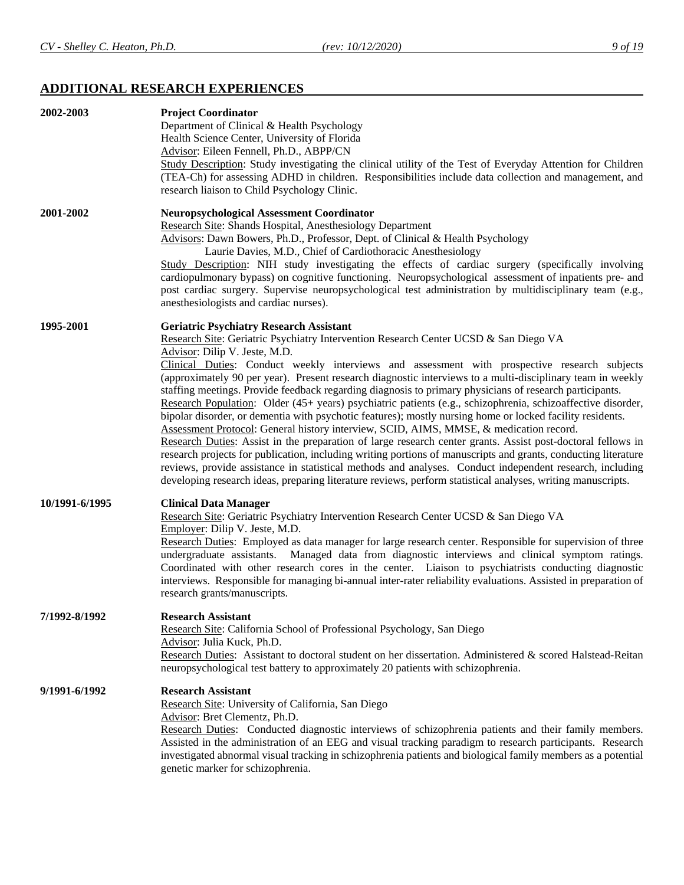# **ADDITIONAL RESEARCH EXPERIENCES**

| 2002-2003      | <b>Project Coordinator</b><br>Department of Clinical & Health Psychology<br>Health Science Center, University of Florida<br>Advisor: Eileen Fennell, Ph.D., ABPP/CN<br>Study Description: Study investigating the clinical utility of the Test of Everyday Attention for Children<br>(TEA-Ch) for assessing ADHD in children. Responsibilities include data collection and management, and<br>research liaison to Child Psychology Clinic.                                                                                                                                                                                                                                                                                                                                                                                                                                                                                                                                                                                                                                                                                                                                                                                                                                         |
|----------------|------------------------------------------------------------------------------------------------------------------------------------------------------------------------------------------------------------------------------------------------------------------------------------------------------------------------------------------------------------------------------------------------------------------------------------------------------------------------------------------------------------------------------------------------------------------------------------------------------------------------------------------------------------------------------------------------------------------------------------------------------------------------------------------------------------------------------------------------------------------------------------------------------------------------------------------------------------------------------------------------------------------------------------------------------------------------------------------------------------------------------------------------------------------------------------------------------------------------------------------------------------------------------------|
| 2001-2002      | <b>Neuropsychological Assessment Coordinator</b><br>Research Site: Shands Hospital, Anesthesiology Department<br>Advisors: Dawn Bowers, Ph.D., Professor, Dept. of Clinical & Health Psychology<br>Laurie Davies, M.D., Chief of Cardiothoracic Anesthesiology<br>Study Description: NIH study investigating the effects of cardiac surgery (specifically involving<br>cardiopulmonary bypass) on cognitive functioning. Neuropsychological assessment of inpatients pre- and<br>post cardiac surgery. Supervise neuropsychological test administration by multidisciplinary team (e.g.,<br>anesthesiologists and cardiac nurses).                                                                                                                                                                                                                                                                                                                                                                                                                                                                                                                                                                                                                                                 |
| 1995-2001      | <b>Geriatric Psychiatry Research Assistant</b><br>Research Site: Geriatric Psychiatry Intervention Research Center UCSD & San Diego VA<br>Advisor: Dilip V. Jeste, M.D.<br>Clinical Duties: Conduct weekly interviews and assessment with prospective research subjects<br>(approximately 90 per year). Present research diagnostic interviews to a multi-disciplinary team in weekly<br>staffing meetings. Provide feedback regarding diagnosis to primary physicians of research participants.<br>Research Population: Older (45+ years) psychiatric patients (e.g., schizophrenia, schizoaffective disorder,<br>bipolar disorder, or dementia with psychotic features); mostly nursing home or locked facility residents.<br>Assessment Protocol: General history interview, SCID, AIMS, MMSE, & medication record.<br>Research Duties: Assist in the preparation of large research center grants. Assist post-doctoral fellows in<br>research projects for publication, including writing portions of manuscripts and grants, conducting literature<br>reviews, provide assistance in statistical methods and analyses. Conduct independent research, including<br>developing research ideas, preparing literature reviews, perform statistical analyses, writing manuscripts. |
| 10/1991-6/1995 | <b>Clinical Data Manager</b><br>Research Site: Geriatric Psychiatry Intervention Research Center UCSD & San Diego VA<br>Employer: Dilip V. Jeste, M.D.<br>Research Duties: Employed as data manager for large research center. Responsible for supervision of three<br>Managed data from diagnostic interviews and clinical symptom ratings.<br>undergraduate assistants.<br>Coordinated with other research cores in the center. Liaison to psychiatrists conducting diagnostic<br>interviews. Responsible for managing bi-annual inter-rater reliability evaluations. Assisted in preparation of<br>research grants/manuscripts.                                                                                                                                                                                                                                                                                                                                                                                                                                                                                                                                                                                                                                                 |
| 7/1992-8/1992  | <b>Research Assistant</b><br>Research Site: California School of Professional Psychology, San Diego<br>Advisor: Julia Kuck, Ph.D.<br>Research Duties: Assistant to doctoral student on her dissertation. Administered & scored Halstead-Reitan<br>neuropsychological test battery to approximately 20 patients with schizophrenia.                                                                                                                                                                                                                                                                                                                                                                                                                                                                                                                                                                                                                                                                                                                                                                                                                                                                                                                                                 |
| 9/1991-6/1992  | <b>Research Assistant</b><br>Research Site: University of California, San Diego<br>Advisor: Bret Clementz, Ph.D.<br>Research Duties: Conducted diagnostic interviews of schizophrenia patients and their family members.<br>Assisted in the administration of an EEG and visual tracking paradigm to research participants. Research<br>investigated abnormal visual tracking in schizophrenia patients and biological family members as a potential<br>genetic marker for schizophrenia.                                                                                                                                                                                                                                                                                                                                                                                                                                                                                                                                                                                                                                                                                                                                                                                          |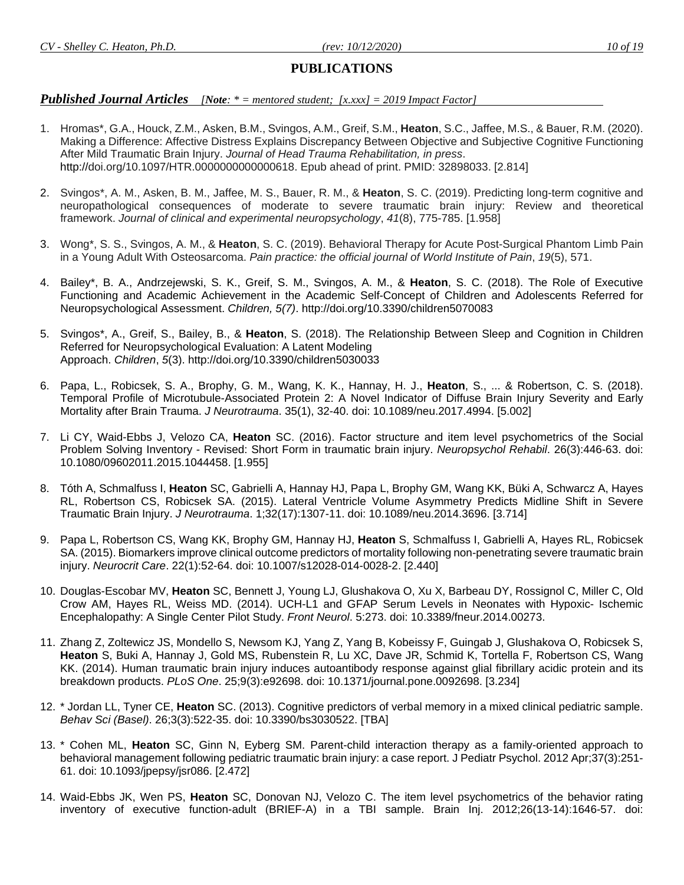# **PUBLICATIONS**

#### *Published Journal Articles [Note: \* = mentored student; [x.xxx] = 2019 Impact Factor]*

- 1. Hromas\*, G.A., Houck, Z.M., Asken, B.M., Svingos, A.M., Greif, S.M., **Heaton**, S.C., Jaffee, M.S., & Bauer, R.M. (2020). Making a Difference: Affective Distress Explains Discrepancy Between Objective and Subjective Cognitive Functioning After Mild Traumatic Brain Injury. *Journal of Head Trauma Rehabilitation, in press*. http://doi.org/10.1097/HTR.0000000000000618. Epub ahead of print. PMID: 32898033. [2.814]
- 2. Svingos\*, A. M., Asken, B. M., Jaffee, M. S., Bauer, R. M., & **Heaton**, S. C. (2019). Predicting long-term cognitive and neuropathological consequences of moderate to severe traumatic brain injury: Review and theoretical framework. *Journal of clinical and experimental neuropsychology*, *41*(8), 775-785. [1.958]
- 3. Wong\*, S. S., Svingos, A. M., & **Heaton**, S. C. (2019). Behavioral Therapy for Acute Post-Surgical Phantom Limb Pain in a Young Adult With Osteosarcoma. *Pain practice: the official journal of World Institute of Pain*, *19*(5), 571.
- 4. Bailey\*, B. A., Andrzejewski, S. K., Greif, S. M., Svingos, A. M., & **Heaton**, S. C. (2018). The Role of Executive Functioning and Academic Achievement in the Academic Self-Concept of Children and Adolescents Referred for Neuropsychological Assessment. *Children, 5(7)*. http://doi.org/10.3390/children5070083
- 5. Svingos\*, A., Greif, S., Bailey, B., & **Heaton**, S. (2018). The Relationship Between Sleep and Cognition in Children Referred for Neuropsychological Evaluation: A Latent Modeling Approach. *Children*, *5*(3). http://doi.org/10.3390/children5030033
- 6. Papa, L., Robicsek, S. A., Brophy, G. M., Wang, K. K., Hannay, H. J., **Heaton**, S., ... & Robertson, C. S. (2018). Temporal Profile of Microtubule-Associated Protein 2: A Novel Indicator of Diffuse Brain Injury Severity and Early Mortality after Brain Trauma. *J Neurotrauma*. 35(1), 32-40. doi: 10.1089/neu.2017.4994. [5.002]
- 7. Li CY, Waid-Ebbs J, Velozo CA, **Heaton** SC. (2016). Factor structure and item level psychometrics of the Social Problem Solving Inventory - Revised: Short Form in traumatic brain injury. *Neuropsychol Rehabil*. 26(3):446-63. doi: 10.1080/09602011.2015.1044458. [1.955]
- 8. Tóth A, Schmalfuss I, **Heaton** SC, Gabrielli A, Hannay HJ, Papa L, Brophy GM, Wang KK, Büki A, Schwarcz A, Hayes RL, Robertson CS, Robicsek SA. (2015). Lateral Ventricle Volume Asymmetry Predicts Midline Shift in Severe Traumatic Brain Injury. *J Neurotrauma*. 1;32(17):1307-11. doi: 10.1089/neu.2014.3696. [3.714]
- 9. Papa L, Robertson CS, Wang KK, Brophy GM, Hannay HJ, **Heaton** S, Schmalfuss I, Gabrielli A, Hayes RL, Robicsek SA. (2015). Biomarkers improve clinical outcome predictors of mortality following non-penetrating severe traumatic brain injury. *Neurocrit Care*. 22(1):52-64. doi: 10.1007/s12028-014-0028-2. [2.440]
- 10. Douglas-Escobar MV, **Heaton** SC, Bennett J, Young LJ, Glushakova O, Xu X, Barbeau DY, Rossignol C, Miller C, Old Crow AM, Hayes RL, Weiss MD. (2014). UCH-L1 and GFAP Serum Levels in Neonates with Hypoxic- Ischemic Encephalopathy: A Single Center Pilot Study. *Front Neurol*. 5:273. doi: 10.3389/fneur.2014.00273.
- 11. Zhang Z, Zoltewicz JS, Mondello S, Newsom KJ, Yang Z, Yang B, Kobeissy F, Guingab J, Glushakova O, Robicsek S, **Heaton** S, Buki A, Hannay J, Gold MS, Rubenstein R, Lu XC, Dave JR, Schmid K, Tortella F, Robertson CS, Wang KK. (2014). Human traumatic brain injury induces autoantibody response against glial fibrillary acidic protein and its breakdown products. *PLoS One*. 25;9(3):e92698. doi: 10.1371/journal.pone.0092698. [3.234]
- 12. \* Jordan LL, Tyner CE, **Heaton** SC. (2013). Cognitive predictors of verbal memory in a mixed clinical pediatric sample. *Behav Sci (Basel)*. 26;3(3):522-35. doi: 10.3390/bs3030522. [TBA]
- 13. \* Cohen ML, **Heaton** SC, Ginn N, Eyberg SM. Parent-child interaction therapy as a family-oriented approach to behavioral management following pediatric traumatic brain injury: a case report. J Pediatr Psychol. 2012 Apr;37(3):251- 61. doi: 10.1093/jpepsy/jsr086. [2.472]
- 14. Waid-Ebbs JK, Wen PS, **Heaton** SC, Donovan NJ, Velozo C. The item level psychometrics of the behavior rating inventory of executive function-adult (BRIEF-A) in a TBI sample. Brain Inj. 2012;26(13-14):1646-57. doi: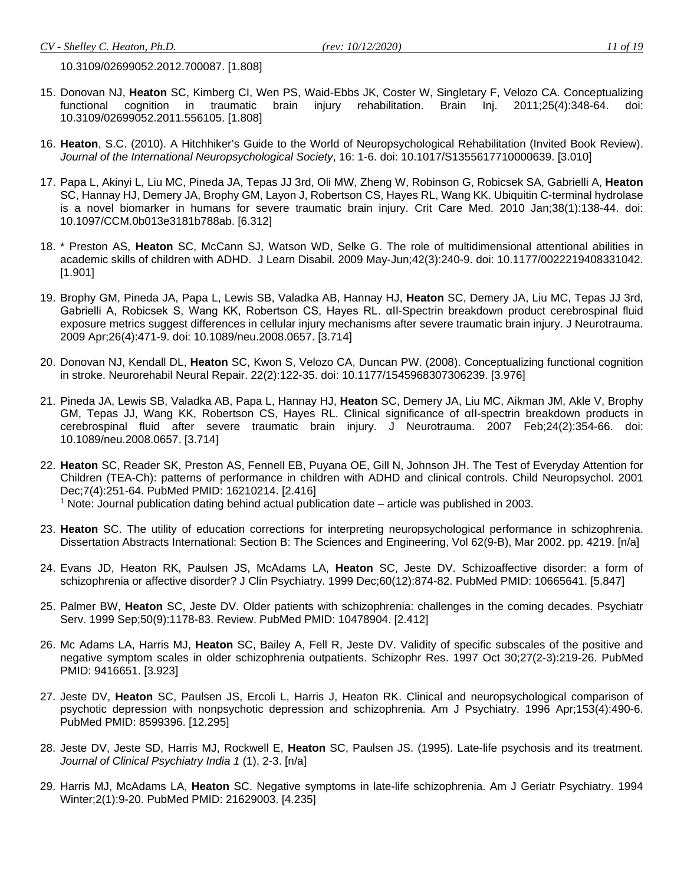10.3109/02699052.2012.700087. [1.808]

- 15. Donovan NJ, **Heaton** SC, Kimberg CI, Wen PS, Waid-Ebbs JK, Coster W, Singletary F, Velozo CA. Conceptualizing functional cognition in traumatic brain injury rehabilitation. Brain Inj. 2011;25(4):348-64. doi: 10.3109/02699052.2011.556105. [1.808]
- 16. **Heaton**, S.C. (2010). A Hitchhiker's Guide to the World of Neuropsychological Rehabilitation (Invited Book Review). *Journal of the International Neuropsychological Society*, 16: 1-6. doi: 10.1017/S1355617710000639. [3.010]
- 17. Papa L, Akinyi L, Liu MC, Pineda JA, Tepas JJ 3rd, Oli MW, Zheng W, Robinson G, Robicsek SA, Gabrielli A, **Heaton** SC, Hannay HJ, Demery JA, Brophy GM, Layon J, Robertson CS, Hayes RL, Wang KK. Ubiquitin C-terminal hydrolase is a novel biomarker in humans for severe traumatic brain injury. Crit Care Med. 2010 Jan;38(1):138-44. doi: 10.1097/CCM.0b013e3181b788ab. [6.312]
- 18. \* Preston AS, **Heaton** SC, McCann SJ, Watson WD, Selke G. The role of multidimensional attentional abilities in academic skills of children with ADHD. J Learn Disabil. 2009 May-Jun;42(3):240-9. doi: 10.1177/0022219408331042. [1.901]
- 19. Brophy GM, Pineda JA, Papa L, Lewis SB, Valadka AB, Hannay HJ, **Heaton** SC, Demery JA, Liu MC, Tepas JJ 3rd, Gabrielli A, Robicsek S, Wang KK, Robertson CS, Hayes RL. αII-Spectrin breakdown product cerebrospinal fluid exposure metrics suggest differences in cellular injury mechanisms after severe traumatic brain injury. J Neurotrauma. 2009 Apr;26(4):471-9. doi: 10.1089/neu.2008.0657. [3.714]
- 20. Donovan NJ, Kendall DL, **Heaton** SC, Kwon S, Velozo CA, Duncan PW. (2008). Conceptualizing functional cognition in stroke. Neurorehabil Neural Repair. 22(2):122-35. doi: 10.1177/1545968307306239. [3.976]
- 21. Pineda JA, Lewis SB, Valadka AB, Papa L, Hannay HJ, **Heaton** SC, Demery JA, Liu MC, Aikman JM, Akle V, Brophy GM, Tepas JJ, Wang KK, Robertson CS, Hayes RL. Clinical significance of αII-spectrin breakdown products in cerebrospinal fluid after severe traumatic brain injury. J Neurotrauma. 2007 Feb;24(2):354-66. doi: 10.1089/neu.2008.0657. [3.714]
- 22. **Heaton** SC, Reader SK, Preston AS, Fennell EB, Puyana OE, Gill N, Johnson JH. The Test of Everyday Attention for Children (TEA-Ch): patterns of performance in children with ADHD and clinical controls. Child Neuropsychol. 2001 Dec;7(4):251-64. PubMed PMID: 16210214. [2.416] <sup>1</sup> Note: Journal publication dating behind actual publication date – article was published in 2003.
- 23. **Heaton** SC. The utility of education corrections for interpreting neuropsychological performance in schizophrenia. Dissertation Abstracts International: Section B: The Sciences and Engineering, Vol 62(9-B), Mar 2002. pp. 4219. [n/a]
- 24. Evans JD, Heaton RK, Paulsen JS, McAdams LA, **Heaton** SC, Jeste DV. Schizoaffective disorder: a form of schizophrenia or affective disorder? J Clin Psychiatry. 1999 Dec;60(12):874-82. PubMed PMID: 10665641. [5.847]
- 25. Palmer BW, **Heaton** SC, Jeste DV. Older patients with schizophrenia: challenges in the coming decades. Psychiatr Serv. 1999 Sep;50(9):1178-83. Review. PubMed PMID: 10478904. [2.412]
- 26. Mc Adams LA, Harris MJ, **Heaton** SC, Bailey A, Fell R, Jeste DV. Validity of specific subscales of the positive and negative symptom scales in older schizophrenia outpatients. Schizophr Res. 1997 Oct 30;27(2-3):219-26. PubMed PMID: 9416651. [3.923]
- 27. Jeste DV, **Heaton** SC, Paulsen JS, Ercoli L, Harris J, Heaton RK. Clinical and neuropsychological comparison of psychotic depression with nonpsychotic depression and schizophrenia. Am J Psychiatry. 1996 Apr;153(4):490-6. PubMed PMID: 8599396. [12.295]
- 28. Jeste DV, Jeste SD, Harris MJ, Rockwell E, **Heaton** SC, Paulsen JS. (1995). Late-life psychosis and its treatment. *Journal of Clinical Psychiatry India 1* (1), 2-3. [n/a]
- 29. Harris MJ, McAdams LA, **Heaton** SC. Negative symptoms in late-life schizophrenia. Am J Geriatr Psychiatry. 1994 Winter;2(1):9-20. PubMed PMID: 21629003. [4.235]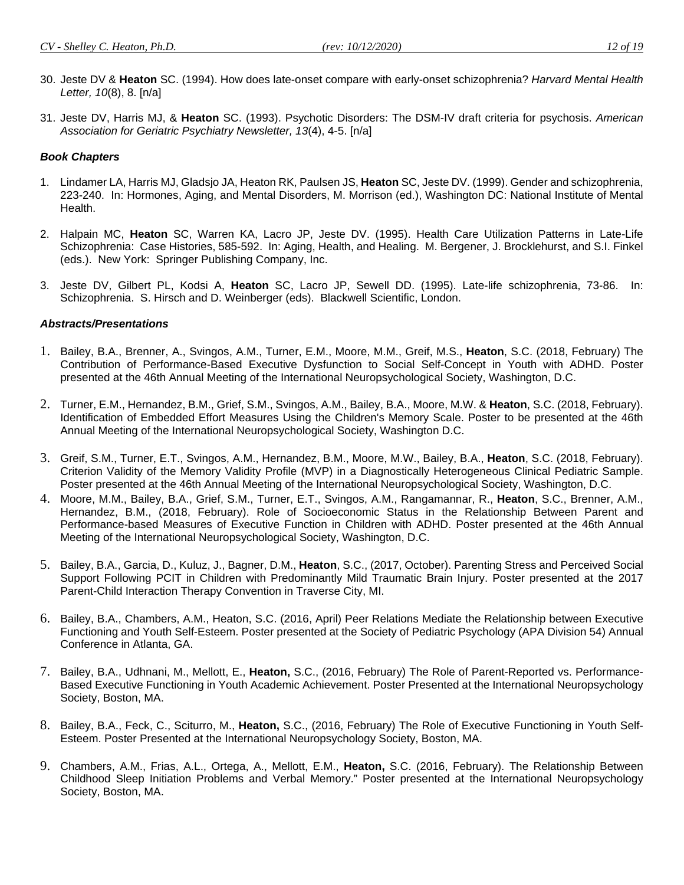- 
- 30. Jeste DV & **Heaton** SC. (1994). How does late-onset compare with early-onset schizophrenia? *Harvard Mental Health Letter, 10*(8), 8. [n/a]
- 31. Jeste DV, Harris MJ, & **Heaton** SC. (1993). Psychotic Disorders: The DSM-IV draft criteria for psychosis. *American Association for Geriatric Psychiatry Newsletter, 13*(4), 4-5. [n/a]

#### *Book Chapters*

- 1. Lindamer LA, Harris MJ, Gladsjo JA, Heaton RK, Paulsen JS, **Heaton** SC, Jeste DV. (1999). Gender and schizophrenia, 223-240. In: Hormones, Aging, and Mental Disorders, M. Morrison (ed.), Washington DC: National Institute of Mental Health.
- 2. Halpain MC, **Heaton** SC, Warren KA, Lacro JP, Jeste DV. (1995). Health Care Utilization Patterns in Late-Life Schizophrenia: Case Histories, 585-592. In: Aging, Health, and Healing. M. Bergener, J. Brocklehurst, and S.I. Finkel (eds.). New York: Springer Publishing Company, Inc.
- 3. Jeste DV, Gilbert PL, Kodsi A, **Heaton** SC, Lacro JP, Sewell DD. (1995). Late-life schizophrenia, 73-86. In: Schizophrenia. S. Hirsch and D. Weinberger (eds). Blackwell Scientific, London.

#### *Abstracts/Presentations*

- 1. Bailey, B.A., Brenner, A., Svingos, A.M., Turner, E.M., Moore, M.M., Greif, M.S., **Heaton**, S.C. (2018, February) The Contribution of Performance-Based Executive Dysfunction to Social Self-Concept in Youth with ADHD. Poster presented at the 46th Annual Meeting of the International Neuropsychological Society, Washington, D.C.
- 2. Turner, E.M., Hernandez, B.M., Grief, S.M., Svingos, A.M., Bailey, B.A., Moore, M.W. & **Heaton**, S.C. (2018, February). Identification of Embedded Effort Measures Using the Children's Memory Scale. Poster to be presented at the 46th Annual Meeting of the International Neuropsychological Society, Washington D.C.
- 3. Greif, S.M., Turner, E.T., Svingos, A.M., Hernandez, B.M., Moore, M.W., Bailey, B.A., **Heaton**, S.C. (2018, February). Criterion Validity of the Memory Validity Profile (MVP) in a Diagnostically Heterogeneous Clinical Pediatric Sample. Poster presented at the 46th Annual Meeting of the International Neuropsychological Society, Washington, D.C.
- 4. Moore, M.M., Bailey, B.A., Grief, S.M., Turner, E.T., Svingos, A.M., Rangamannar, R., **Heaton**, S.C., Brenner, A.M., Hernandez, B.M., (2018, February). Role of Socioeconomic Status in the Relationship Between Parent and Performance-based Measures of Executive Function in Children with ADHD. Poster presented at the 46th Annual Meeting of the International Neuropsychological Society, Washington, D.C.
- 5. Bailey, B.A., Garcia, D., Kuluz, J., Bagner, D.M., **Heaton**, S.C., (2017, October). Parenting Stress and Perceived Social Support Following PCIT in Children with Predominantly Mild Traumatic Brain Injury. Poster presented at the 2017 Parent-Child Interaction Therapy Convention in Traverse City, MI.
- 6. Bailey, B.A., Chambers, A.M., Heaton, S.C. (2016, April) Peer Relations Mediate the Relationship between Executive Functioning and Youth Self-Esteem. Poster presented at the Society of Pediatric Psychology (APA Division 54) Annual Conference in Atlanta, GA.
- 7. Bailey, B.A., Udhnani, M., Mellott, E., **Heaton,** S.C., (2016, February) The Role of Parent-Reported vs. Performance-Based Executive Functioning in Youth Academic Achievement. Poster Presented at the International Neuropsychology Society, Boston, MA.
- 8. Bailey, B.A., Feck, C., Sciturro, M., **Heaton,** S.C., (2016, February) The Role of Executive Functioning in Youth Self-Esteem. Poster Presented at the International Neuropsychology Society, Boston, MA.
- 9. Chambers, A.M., Frias, A.L., Ortega, A., Mellott, E.M., **Heaton,** S.C. (2016, February). The Relationship Between Childhood Sleep Initiation Problems and Verbal Memory." Poster presented at the International Neuropsychology Society, Boston, MA.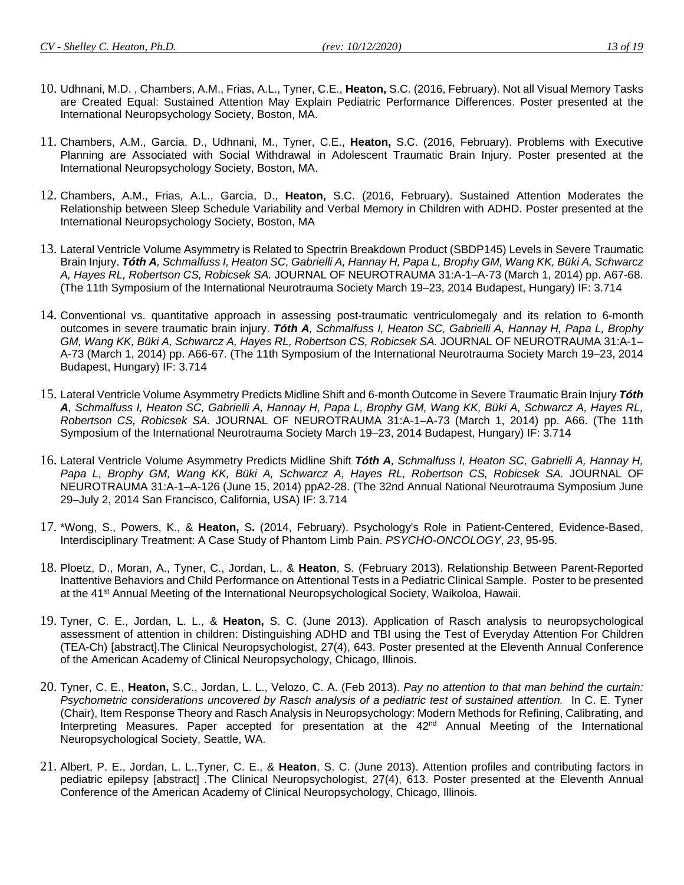- 10. Udhnani, M.D. , Chambers, A.M., Frias, A.L., Tyner, C.E., **Heaton,** S.C. (2016, February). Not all Visual Memory Tasks are Created Equal: Sustained Attention May Explain Pediatric Performance Differences. Poster presented at the International Neuropsychology Society, Boston, MA.
- 11. Chambers, A.M., Garcia, D., Udhnani, M., Tyner, C.E., **Heaton,** S.C. (2016, February). Problems with Executive Planning are Associated with Social Withdrawal in Adolescent Traumatic Brain Injury. Poster presented at the International Neuropsychology Society, Boston, MA.
- 12. Chambers, A.M., Frias, A.L., Garcia, D., **Heaton,** S.C. (2016, February). Sustained Attention Moderates the Relationship between Sleep Schedule Variability and Verbal Memory in Children with ADHD. Poster presented at the International Neuropsychology Society, Boston, MA
- 13. Lateral Ventricle Volume Asymmetry is Related to Spectrin Breakdown Product (SBDP145) Levels in Severe Traumatic Brain Injury. *Tóth A, Schmalfuss I, Heaton SC, Gabrielli A, Hannay H, Papa L, Brophy GM, Wang KK, Büki A, Schwarcz A, Hayes RL, Robertson CS, Robicsek SA.* JOURNAL OF NEUROTRAUMA 31:A-1–A-73 (March 1, 2014) pp. A67-68. (The 11th Symposium of the International Neurotrauma Society March 19–23, 2014 Budapest, Hungary) IF: 3.714
- 14. Conventional vs. quantitative approach in assessing post-traumatic ventriculomegaly and its relation to 6-month outcomes in severe traumatic brain injury. *Tóth A, Schmalfuss I, Heaton SC, Gabrielli A, Hannay H, Papa L, Brophy GM, Wang KK, Büki A, Schwarcz A, Hayes RL, Robertson CS, Robicsek SA.* JOURNAL OF NEUROTRAUMA 31:A-1– A-73 (March 1, 2014) pp. A66-67. (The 11th Symposium of the International Neurotrauma Society March 19–23, 2014 Budapest, Hungary) IF: 3.714
- 15. Lateral Ventricle Volume Asymmetry Predicts Midline Shift and 6-month Outcome in Severe Traumatic Brain Injury *Tóth A, Schmalfuss I, Heaton SC, Gabrielli A, Hannay H, Papa L, Brophy GM, Wang KK, Büki A, Schwarcz A, Hayes RL, Robertson CS, Robicsek SA.* JOURNAL OF NEUROTRAUMA 31:A-1–A-73 (March 1, 2014) pp. A66. (The 11th Symposium of the International Neurotrauma Society March 19–23, 2014 Budapest, Hungary) IF: 3.714
- 16. Lateral Ventricle Volume Asymmetry Predicts Midline Shift *Tóth A, Schmalfuss I, Heaton SC, Gabrielli A, Hannay H,*  Papa L, Brophy GM, Wang KK, Büki A, Schwarcz A, Hayes RL, Robertson CS, Robicsek SA. JOURNAL OF NEUROTRAUMA 31:A-1–A-126 (June 15, 2014) ppA2-28. (The 32nd Annual National Neurotrauma Symposium June 29–July 2, 2014 San Francisco, California, USA) IF: 3.714
- 17. \*Wong, S., Powers, K., & **Heaton,** S**.** (2014, February). Psychology's Role in Patient-Centered, Evidence-Based, Interdisciplinary Treatment: A Case Study of Phantom Limb Pain. *PSYCHO-ONCOLOGY*, *23*, 95-95.
- 18. Ploetz, D., Moran, A., Tyner, C., Jordan, L., & **Heaton**, S. (February 2013). Relationship Between Parent-Reported Inattentive Behaviors and Child Performance on Attentional Tests in a Pediatric Clinical Sample. Poster to be presented at the 41<sup>st</sup> Annual Meeting of the International Neuropsychological Society, Waikoloa, Hawaii.
- 19. Tyner, C. E., Jordan, L. L., & **Heaton,** S. C. (June 2013). Application of Rasch analysis to neuropsychological assessment of attention in children: Distinguishing ADHD and TBI using the Test of Everyday Attention For Children (TEA-Ch) [abstract].The Clinical Neuropsychologist, 27(4), 643. Poster presented at the Eleventh Annual Conference of the American Academy of Clinical Neuropsychology, Chicago, Illinois.
- 20. Tyner, C. E., **Heaton,** S.C., Jordan, L. L., Velozo, C. A. (Feb 2013). *Pay no attention to that man behind the curtain: Psychometric considerations uncovered by Rasch analysis of a pediatric test of sustained attention.* In C. E. Tyner (Chair), Item Response Theory and Rasch Analysis in Neuropsychology: Modern Methods for Refining, Calibrating, and Interpreting Measures. Paper accepted for presentation at the 42<sup>nd</sup> Annual Meeting of the International Neuropsychological Society, Seattle, WA.
- 21. Albert, P. E., Jordan, L. L.,Tyner, C. E., & **Heaton**, S. C. (June 2013). Attention profiles and contributing factors in pediatric epilepsy [abstract] .The Clinical Neuropsychologist, 27(4), 613. Poster presented at the Eleventh Annual Conference of the American Academy of Clinical Neuropsychology, Chicago, Illinois.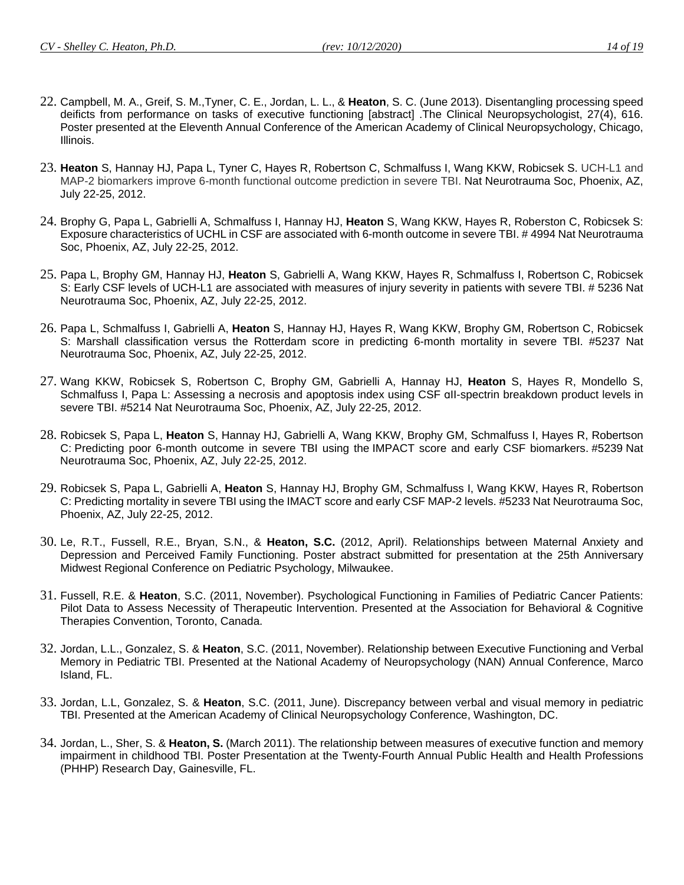- 22. Campbell, M. A., Greif, S. M.,Tyner, C. E., Jordan, L. L., & **Heaton**, S. C. (June 2013). Disentangling processing speed deificts from performance on tasks of executive functioning [abstract] .The Clinical Neuropsychologist, 27(4), 616. Poster presented at the Eleventh Annual Conference of the American Academy of Clinical Neuropsychology, Chicago, Illinois.
- 23. **Heaton** S, Hannay HJ, Papa L, Tyner C, Hayes R, Robertson C, Schmalfuss I, Wang KKW, Robicsek S. UCH-L1 and MAP-2 biomarkers improve 6-month functional outcome prediction in severe TBI. Nat Neurotrauma Soc, Phoenix, AZ, July 22-25, 2012.
- 24. Brophy G, Papa L, Gabrielli A, Schmalfuss I, Hannay HJ, **Heaton** S, Wang KKW, Hayes R, Roberston C, Robicsek S: Exposure characteristics of UCHL in CSF are associated with 6-month outcome in severe TBI. # 4994 Nat Neurotrauma Soc, Phoenix, AZ, July 22-25, 2012.
- 25. Papa L, Brophy GM, Hannay HJ, **Heaton** S, Gabrielli A, Wang KKW, Hayes R, Schmalfuss I, Robertson C, Robicsek S: Early CSF levels of UCH-L1 are associated with measures of injury severity in patients with severe TBI. # 5236 Nat Neurotrauma Soc, Phoenix, AZ, July 22-25, 2012.
- 26. Papa L, Schmalfuss I, Gabrielli A, **Heaton** S, Hannay HJ, Hayes R, Wang KKW, Brophy GM, Robertson C, Robicsek S: Marshall classification versus the Rotterdam score in predicting 6-month mortality in severe TBI. #5237 Nat Neurotrauma Soc, Phoenix, AZ, July 22-25, 2012.
- 27. Wang KKW, Robicsek S, Robertson C, Brophy GM, Gabrielli A, Hannay HJ, **Heaton** S, Hayes R, Mondello S, Schmalfuss I, Papa L: Assessing a necrosis and apoptosis index using CSF ɑII-spectrin breakdown product levels in severe TBI. #5214 Nat Neurotrauma Soc, Phoenix, AZ, July 22-25, 2012.
- 28. Robicsek S, Papa L, **Heaton** S, Hannay HJ, Gabrielli A, Wang KKW, Brophy GM, Schmalfuss I, Hayes R, Robertson C: Predicting poor 6-month outcome in severe TBI using the IMPACT score and early CSF biomarkers. #5239 Nat Neurotrauma Soc, Phoenix, AZ, July 22-25, 2012.
- 29. Robicsek S, Papa L, Gabrielli A, **Heaton** S, Hannay HJ, Brophy GM, Schmalfuss I, Wang KKW, Hayes R, Robertson C: Predicting mortality in severe TBI using the IMACT score and early CSF MAP-2 levels. #5233 Nat Neurotrauma Soc, Phoenix, AZ, July 22-25, 2012.
- 30. Le, R.T., Fussell, R.E., Bryan, S.N., & **Heaton, S.C.** (2012, April). Relationships between Maternal Anxiety and Depression and Perceived Family Functioning. Poster abstract submitted for presentation at the 25th Anniversary Midwest Regional Conference on Pediatric Psychology, Milwaukee.
- 31. Fussell, R.E. & **Heaton**, S.C. (2011, November). Psychological Functioning in Families of Pediatric Cancer Patients: Pilot Data to Assess Necessity of Therapeutic Intervention. Presented at the Association for Behavioral & Cognitive Therapies Convention, Toronto, Canada.
- 32. Jordan, L.L., Gonzalez, S. & **Heaton**, S.C. (2011, November). Relationship between Executive Functioning and Verbal Memory in Pediatric TBI. Presented at the National Academy of Neuropsychology (NAN) Annual Conference, Marco Island, FL.
- 33. Jordan, L.L, Gonzalez, S. & **Heaton**, S.C. (2011, June). Discrepancy between verbal and visual memory in pediatric TBI. Presented at the American Academy of Clinical Neuropsychology Conference, Washington, DC.
- 34. Jordan, L., Sher, S. & **Heaton, S.** (March 2011). The relationship between measures of executive function and memory impairment in childhood TBI. Poster Presentation at the Twenty-Fourth Annual Public Health and Health Professions (PHHP) Research Day, Gainesville, FL.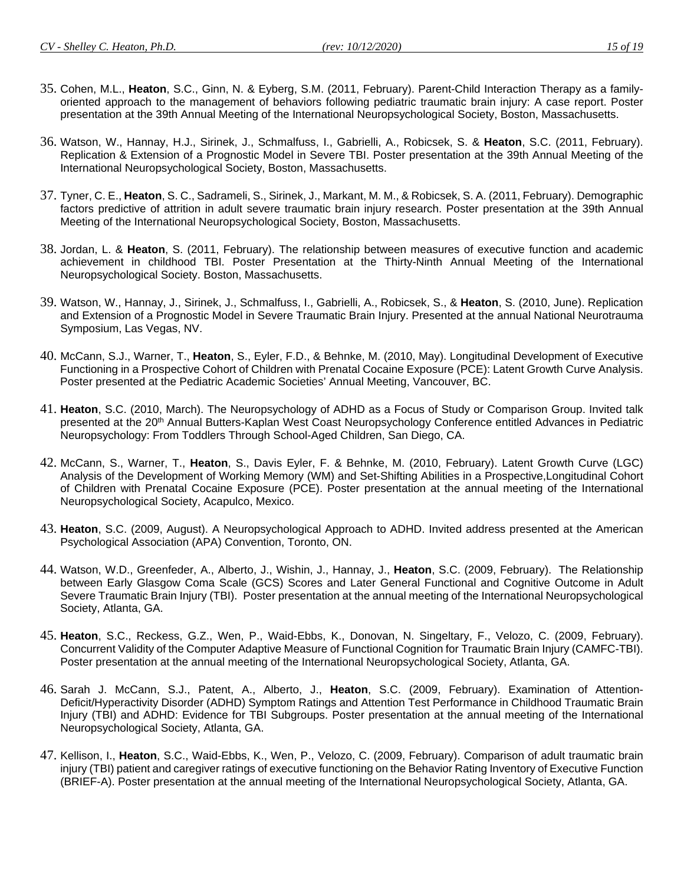- 
- 35. Cohen, M.L., **Heaton**, S.C., Ginn, N. & Eyberg, S.M. (2011, February). Parent-Child Interaction Therapy as a familyoriented approach to the management of behaviors following pediatric traumatic brain injury: A case report. Poster presentation at the 39th Annual Meeting of the International Neuropsychological Society, Boston, Massachusetts.
- 36. Watson, W., Hannay, H.J., Sirinek, J., Schmalfuss, I., Gabrielli, A., Robicsek, S. & **Heaton**, S.C. (2011, February). Replication & Extension of a Prognostic Model in Severe TBI. Poster presentation at the 39th Annual Meeting of the International Neuropsychological Society, Boston, Massachusetts.
- 37. Tyner, C. E., **Heaton**, S. C., Sadrameli, S., Sirinek, J., Markant, M. M., & Robicsek, S. A. (2011, February). Demographic factors predictive of attrition in adult severe traumatic brain injury research. Poster presentation at the 39th Annual Meeting of the International Neuropsychological Society, Boston, Massachusetts.
- 38. Jordan, L. & **Heaton**, S. (2011, February). The relationship between measures of executive function and academic achievement in childhood TBI. Poster Presentation at the Thirty-Ninth Annual Meeting of the International Neuropsychological Society. Boston, Massachusetts.
- 39. Watson, W., Hannay, J., Sirinek, J., Schmalfuss, I., Gabrielli, A., Robicsek, S., & **Heaton**, S. (2010, June). Replication and Extension of a Prognostic Model in Severe Traumatic Brain Injury. Presented at the annual National Neurotrauma Symposium, Las Vegas, NV.
- 40. McCann, S.J., Warner, T., **Heaton**, S., Eyler, F.D., & Behnke, M. (2010, May). Longitudinal Development of Executive Functioning in a Prospective Cohort of Children with Prenatal Cocaine Exposure (PCE): Latent Growth Curve Analysis. Poster presented at the Pediatric Academic Societies' Annual Meeting, Vancouver, BC.
- 41. **Heaton**, S.C. (2010, March). The Neuropsychology of ADHD as a Focus of Study or Comparison Group. Invited talk presented at the 20<sup>th</sup> Annual Butters-Kaplan West Coast Neuropsychology Conference entitled Advances in Pediatric Neuropsychology: From Toddlers Through School-Aged Children, San Diego, CA.
- 42. McCann, S., Warner, T., **Heaton**, S., Davis Eyler, F. & Behnke, M. (2010, February). Latent Growth Curve (LGC) Analysis of the Development of Working Memory (WM) and Set-Shifting Abilities in a Prospective,Longitudinal Cohort of Children with Prenatal Cocaine Exposure (PCE). Poster presentation at the annual meeting of the International Neuropsychological Society, Acapulco, Mexico.
- 43. **Heaton**, S.C. (2009, August). A Neuropsychological Approach to ADHD. Invited address presented at the American Psychological Association (APA) Convention, Toronto, ON.
- 44. Watson, W.D., Greenfeder, A., Alberto, J., Wishin, J., Hannay, J., **Heaton**, S.C. (2009, February). The Relationship between Early Glasgow Coma Scale (GCS) Scores and Later General Functional and Cognitive Outcome in Adult Severe Traumatic Brain Injury (TBI). Poster presentation at the annual meeting of the International Neuropsychological Society, Atlanta, GA.
- 45. **Heaton**, S.C., Reckess, G.Z., Wen, P., Waid-Ebbs, K., Donovan, N. Singeltary, F., Velozo, C. (2009, February). Concurrent Validity of the Computer Adaptive Measure of Functional Cognition for Traumatic Brain Injury (CAMFC-TBI). Poster presentation at the annual meeting of the International Neuropsychological Society, Atlanta, GA.
- 46. Sarah J. McCann, S.J., Patent, A., Alberto, J., **Heaton**, S.C. (2009, February). Examination of Attention-Deficit/Hyperactivity Disorder (ADHD) Symptom Ratings and Attention Test Performance in Childhood Traumatic Brain Injury (TBI) and ADHD: Evidence for TBI Subgroups. Poster presentation at the annual meeting of the International Neuropsychological Society, Atlanta, GA.
- 47. Kellison, I., **Heaton**, S.C., Waid-Ebbs, K., Wen, P., Velozo, C. (2009, February). Comparison of adult traumatic brain injury (TBI) patient and caregiver ratings of executive functioning on the Behavior Rating Inventory of Executive Function (BRIEF-A). Poster presentation at the annual meeting of the International Neuropsychological Society, Atlanta, GA.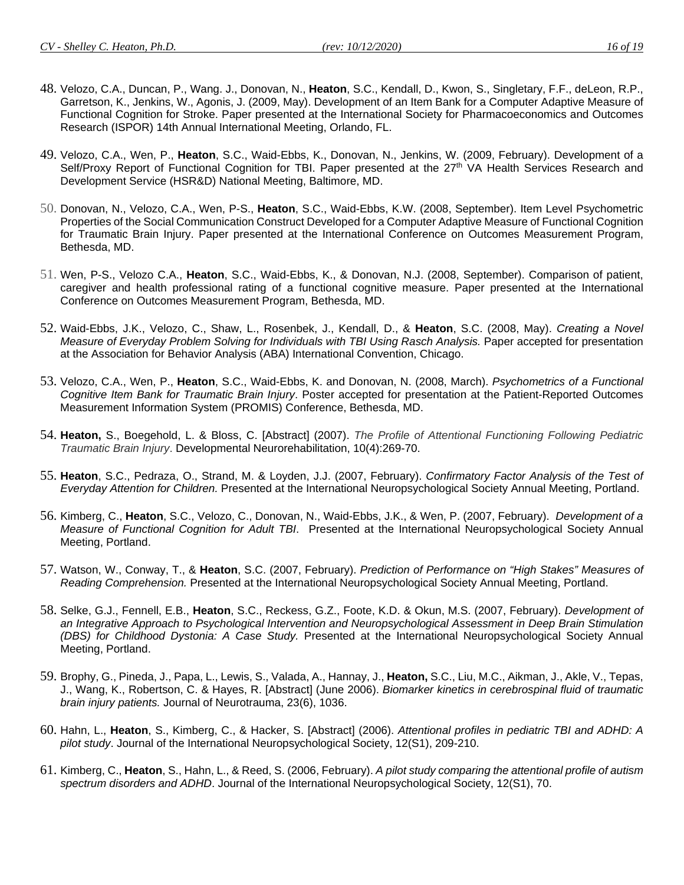- 48. Velozo, C.A., Duncan, P., Wang. J., Donovan, N., **Heaton**, S.C., Kendall, D., Kwon, S., Singletary, F.F., deLeon, R.P., Garretson, K., Jenkins, W., Agonis, J. (2009, May). Development of an Item Bank for a Computer Adaptive Measure of Functional Cognition for Stroke. Paper presented at the International Society for Pharmacoeconomics and Outcomes Research (ISPOR) 14th Annual International Meeting, Orlando, FL.
- 49. Velozo, C.A., Wen, P., **Heaton**, S.C., Waid-Ebbs, K., Donovan, N., Jenkins, W. (2009, February). Development of a Self/Proxy Report of Functional Cognition for TBI. Paper presented at the 27<sup>th</sup> VA Health Services Research and Development Service (HSR&D) National Meeting, Baltimore, MD.
- 50. Donovan, N., Velozo, C.A., Wen, P-S., **Heaton**, S.C., Waid-Ebbs, K.W. (2008, September). Item Level Psychometric Properties of the Social Communication Construct Developed for a Computer Adaptive Measure of Functional Cognition for Traumatic Brain Injury. Paper presented at the International Conference on Outcomes Measurement Program, Bethesda, MD.
- 51. Wen, P-S., Velozo C.A., **Heaton**, S.C., Waid-Ebbs, K., & Donovan, N.J. (2008, September). Comparison of patient, caregiver and health professional rating of a functional cognitive measure. Paper presented at the International Conference on Outcomes Measurement Program, Bethesda, MD.
- 52. Waid-Ebbs, J.K., Velozo, C., Shaw, L., Rosenbek, J., Kendall, D., & **Heaton**, S.C. (2008, May). *Creating a Novel Measure of Everyday Problem Solving for Individuals with TBI Using Rasch Analysis.* Paper accepted for presentation at the Association for Behavior Analysis (ABA) International Convention, Chicago.
- 53. Velozo, C.A., Wen, P., **Heaton**, S.C., Waid-Ebbs, K. and Donovan, N. (2008, March). *Psychometrics of a Functional Cognitive Item Bank for Traumatic Brain Injury*. Poster accepted for presentation at the Patient-Reported Outcomes Measurement Information System (PROMIS) Conference, Bethesda, MD.
- 54. **Heaton,** S., Boegehold, L. & Bloss, C. [Abstract] (2007). *The Profile of Attentional Functioning Following Pediatric Traumatic Brain Injury*. Developmental Neurorehabilitation, 10(4):269-70.
- 55. **Heaton**, S.C., Pedraza, O., Strand, M. & Loyden, J.J. (2007, February). *Confirmatory Factor Analysis of the Test of Everyday Attention for Children.* Presented at the International Neuropsychological Society Annual Meeting, Portland.
- 56. Kimberg, C., **Heaton**, S.C., Velozo, C., Donovan, N., Waid-Ebbs, J.K., & Wen, P. (2007, February). *Development of a Measure of Functional Cognition for Adult TBI*. Presented at the International Neuropsychological Society Annual Meeting, Portland.
- 57. Watson, W., Conway, T., & **Heaton**, S.C. (2007, February). *Prediction of Performance on "High Stakes" Measures of Reading Comprehension.* Presented at the International Neuropsychological Society Annual Meeting, Portland.
- 58. Selke, G.J., Fennell, E.B., **Heaton**, S.C., Reckess, G.Z., Foote, K.D. & Okun, M.S. (2007, February). *Development of an Integrative Approach to Psychological Intervention and Neuropsychological Assessment in Deep Brain Stimulation (DBS) for Childhood Dystonia: A Case Study.* Presented at the International Neuropsychological Society Annual Meeting, Portland.
- 59. Brophy, G., Pineda, J., Papa, L., Lewis, S., Valada, A., Hannay, J., **Heaton,** S.C., Liu, M.C., Aikman, J., Akle, V., Tepas, J., Wang, K., Robertson, C. & Hayes, R. [Abstract] (June 2006). *Biomarker kinetics in cerebrospinal fluid of traumatic brain injury patients.* Journal of Neurotrauma, 23(6), 1036.
- 60. Hahn, L., **Heaton**, S., Kimberg, C., & Hacker, S. [Abstract] (2006). *Attentional profiles in pediatric TBI and ADHD: A pilot study*. Journal of the International Neuropsychological Society, 12(S1), 209-210.
- 61. Kimberg, C., **Heaton**, S., Hahn, L., & Reed, S. (2006, February). *A pilot study comparing the attentional profile of autism spectrum disorders and ADHD*. Journal of the International Neuropsychological Society, 12(S1), 70.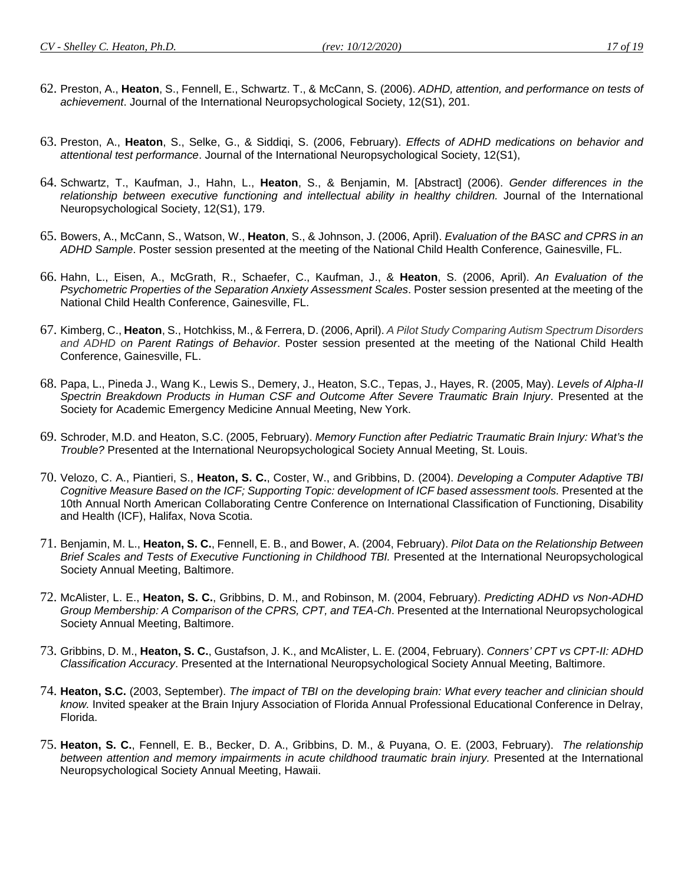- 62. Preston, A., **Heaton**, S., Fennell, E., Schwartz. T., & McCann, S. (2006). *ADHD, attention, and performance on tests of achievement*. Journal of the International Neuropsychological Society, 12(S1), 201.
- 63. Preston, A., **Heaton**, S., Selke, G., & Siddiqi, S. (2006, February). *Effects of ADHD medications on behavior and attentional test performance*. Journal of the International Neuropsychological Society, 12(S1),
- 64. Schwartz, T., Kaufman, J., Hahn, L., **Heaton**, S., & Benjamin, M. [Abstract] (2006). *Gender differences in the relationship between executive functioning and intellectual ability in healthy children.* Journal of the International Neuropsychological Society, 12(S1), 179.
- 65. Bowers, A., McCann, S., Watson, W., **Heaton**, S., & Johnson, J. (2006, April). *Evaluation of the BASC and CPRS in an ADHD Sample*. Poster session presented at the meeting of the National Child Health Conference, Gainesville, FL.
- 66. Hahn, L., Eisen, A., McGrath, R., Schaefer, C., Kaufman, J., & **Heaton**, S. (2006, April). *An Evaluation of the Psychometric Properties of the Separation Anxiety Assessment Scales*. Poster session presented at the meeting of the National Child Health Conference, Gainesville, FL.
- 67. Kimberg, C., **Heaton**, S., Hotchkiss, M., & Ferrera, D. (2006, April). *A Pilot Study Comparing Autism Spectrum Disorders and ADHD on Parent Ratings of Behavior*. Poster session presented at the meeting of the National Child Health Conference, Gainesville, FL.
- 68. Papa, L., Pineda J., Wang K., Lewis S., Demery, J., Heaton, S.C., Tepas, J., Hayes, R. (2005, May). *Levels of Alpha-II Spectrin Breakdown Products in Human CSF and Outcome After Severe Traumatic Brain Injury*. Presented at the Society for Academic Emergency Medicine Annual Meeting, New York.
- 69. Schroder, M.D. and Heaton, S.C. (2005, February). *Memory Function after Pediatric Traumatic Brain Injury: What's the Trouble?* Presented at the International Neuropsychological Society Annual Meeting, St. Louis.
- 70. Velozo, C. A., Piantieri, S., **Heaton, S. C.**, Coster, W., and Gribbins, D. (2004). *Developing a Computer Adaptive TBI*  Cognitive Measure Based on the ICF; Supporting Topic: development of ICF based assessment tools. Presented at the 10th Annual North American Collaborating Centre Conference on International Classification of Functioning, Disability and Health (ICF), Halifax, Nova Scotia.
- 71. Benjamin, M. L., **Heaton, S. C.**, Fennell, E. B., and Bower, A. (2004, February). *Pilot Data on the Relationship Between Brief Scales and Tests of Executive Functioning in Childhood TBI.* Presented at the International Neuropsychological Society Annual Meeting, Baltimore.
- 72. McAlister, L. E., **Heaton, S. C.**, Gribbins, D. M., and Robinson, M. (2004, February). *Predicting ADHD vs Non-ADHD Group Membership: A Comparison of the CPRS, CPT, and TEA-Ch*. Presented at the International Neuropsychological Society Annual Meeting, Baltimore.
- 73. Gribbins, D. M., **Heaton, S. C.**, Gustafson, J. K., and McAlister, L. E. (2004, February). *Conners' CPT vs CPT-II: ADHD Classification Accuracy*. Presented at the International Neuropsychological Society Annual Meeting, Baltimore.
- 74. **Heaton, S.C.** (2003, September). *The impact of TBI on the developing brain: What every teacher and clinician should know.* Invited speaker at the Brain Injury Association of Florida Annual Professional Educational Conference in Delray, Florida.
- 75. **Heaton, S. C.**, Fennell, E. B., Becker, D. A., Gribbins, D. M., & Puyana, O. E. (2003, February). *The relationship between attention and memory impairments in acute childhood traumatic brain injury.* Presented at the International Neuropsychological Society Annual Meeting, Hawaii.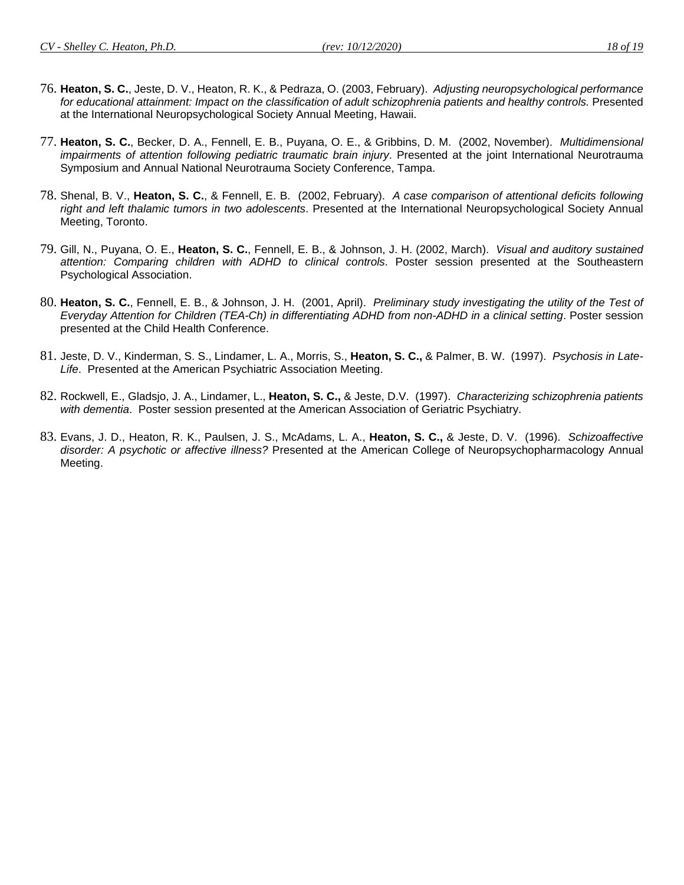- 
- 76. **Heaton, S. C.**, Jeste, D. V., Heaton, R. K., & Pedraza, O. (2003, February). *Adjusting neuropsychological performance*  for educational attainment: Impact on the classification of adult schizophrenia patients and healthy controls. Presented at the International Neuropsychological Society Annual Meeting, Hawaii.
- 77. **Heaton, S. C.**, Becker, D. A., Fennell, E. B., Puyana, O. E., & Gribbins, D. M. (2002, November). *Multidimensional impairments of attention following pediatric traumatic brain injury*. Presented at the joint International Neurotrauma Symposium and Annual National Neurotrauma Society Conference, Tampa.
- 78. Shenal, B. V., **Heaton, S. C.**, & Fennell, E. B. (2002, February). *A case comparison of attentional deficits following right and left thalamic tumors in two adolescents*. Presented at the International Neuropsychological Society Annual Meeting, Toronto.
- 79. Gill, N., Puyana, O. E., **Heaton, S. C.**, Fennell, E. B., & Johnson, J. H. (2002, March). *Visual and auditory sustained attention: Comparing children with ADHD to clinical controls*. Poster session presented at the Southeastern Psychological Association.
- 80. **Heaton, S. C.**, Fennell, E. B., & Johnson, J. H. (2001, April). *Preliminary study investigating the utility of the Test of Everyday Attention for Children (TEA-Ch) in differentiating ADHD from non-ADHD in a clinical setting*. Poster session presented at the Child Health Conference.
- 81. Jeste, D. V., Kinderman, S. S., Lindamer, L. A., Morris, S., **Heaton, S. C.,** & Palmer, B. W. (1997). *Psychosis in Late-Life*. Presented at the American Psychiatric Association Meeting.
- 82. Rockwell, E., Gladsjo, J. A., Lindamer, L., **Heaton, S. C.,** & Jeste, D.V. (1997). *Characterizing schizophrenia patients with dementia*. Poster session presented at the American Association of Geriatric Psychiatry.
- 83. Evans, J. D., Heaton, R. K., Paulsen, J. S., McAdams, L. A., **Heaton, S. C.,** & Jeste, D. V. (1996). *Schizoaffective disorder: A psychotic or affective illness?* Presented at the American College of Neuropsychopharmacology Annual Meeting.